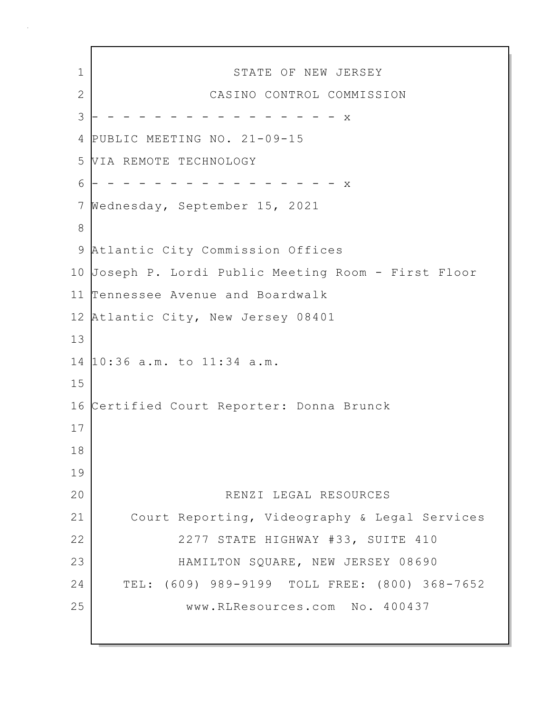1 STATE OF NEW JERSEY 2 CASINO CONTROL COMMISSION 3 - - - - - - - - - - - - - - - x 4 PUBLIC MEETING NO. 21-09-15 5 VIA REMOTE TECHNOLOGY 6 - - - - - - - - - - - - - - - - x 7 Wednesday, September 15, 2021 8 9 Atlantic City Commission Offices 10 Joseph P. Lordi Public Meeting Room - First Floor 11 Tennessee Avenue and Boardwalk 12 Atlantic City, New Jersey 08401 13 14 10:36 a.m. to 11:34 a.m. 15 16 Certified Court Reporter: Donna Brunck 17 18 19 20 RENZI LEGAL RESOURCES 21 Court Reporting, Videography & Legal Services 22 | 2277 STATE HIGHWAY #33, SUITE 410 23 HAMILTON SQUARE, NEW JERSEY 08690 24 TEL: (609) 989-9199 TOLL FREE: (800) 368-7652 25 www.RLResources.com No. 400437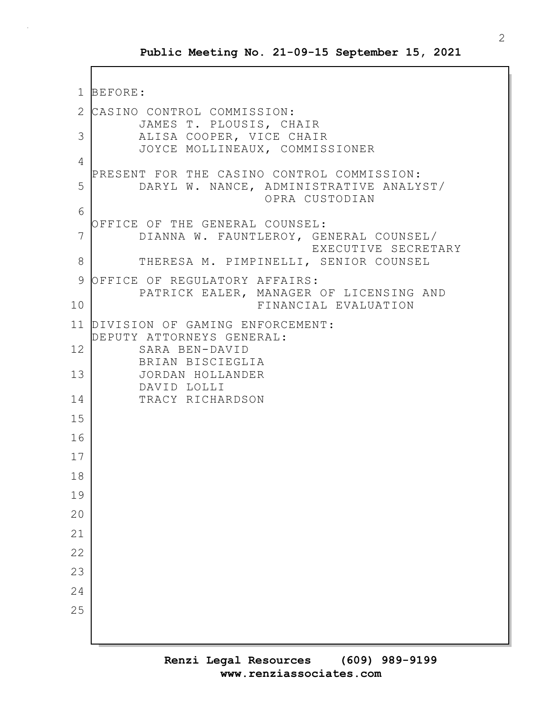```
1 BEFORE:
2 CASINO CONTROL COMMISSION:
         JAMES T. PLOUSIS, CHAIR
3 ALISA COOPER, VICE CHAIR
         JOYCE MOLLINEAUX, COMMISSIONER
4
  PRESENT FOR THE CASINO CONTROL COMMISSION:
5 DARYL W. NANCE, ADMINISTRATIVE ANALYST/
                        OPRA CUSTODIAN
6
  OFFICE OF THE GENERAL COUNSEL:
7 DIANNA W. FAUNTLEROY, GENERAL COUNSEL/
                              EXECUTIVE SECRETARY
8 THERESA M. PIMPINELLI, SENIOR COUNSEL
9 OFFICE OF REGULATORY AFFAIRS:
        PATRICK EALER, MANAGER OF LICENSING AND
10 FINANCIAL EVALUATION
11 DIVISION OF GAMING ENFORCEMENT:
  DEPUTY ATTORNEYS GENERAL:
12 SARA BEN-DAVID
         BRIAN BISCIEGLIA
13 JORDAN HOLLANDER
        DAVID LOLLI
14 TRACY RICHARDSON
15
16
17
18
19
20
21
22
23
24
25
```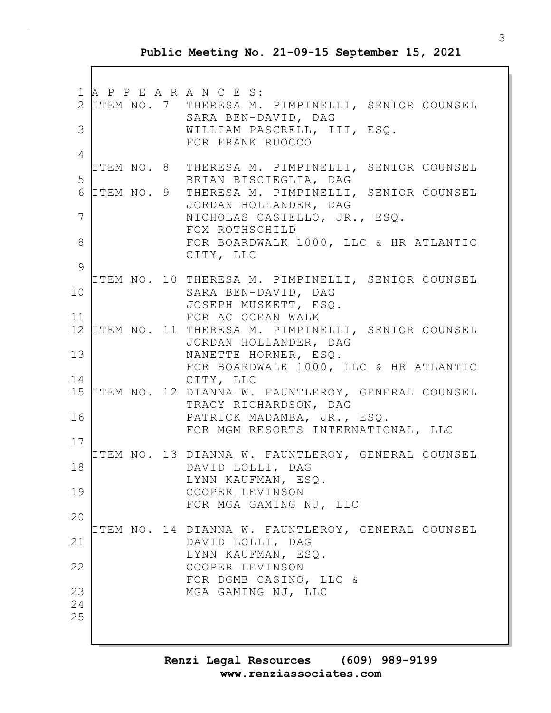1 A P P E A R A N C E S: 2 ITEM NO. 7 THERESA M. PIMPINELLI, SENIOR COUNSEL SARA BEN-DAVID, DAG 3 WILLIAM PASCRELL, III, ESQ. FOR FRANK RUOCCO 4 ITEM NO. 8 THERESA M. PIMPINELLI, SENIOR COUNSEL 5 BRIAN BISCIEGLIA, DAG 6 ITEM NO. 9 THERESA M. PIMPINELLI, SENIOR COUNSEL JORDAN HOLLANDER, DAG 7 NICHOLAS CASIELLO, JR., ESQ. FOX ROTHSCHILD 8 FOR BOARDWALK 1000, LLC & HR ATLANTIC CITY, LLC  $\circ$ ITEM NO. 10 THERESA M. PIMPINELLI, SENIOR COUNSEL 10 SARA BEN-DAVID, DAG JOSEPH MUSKETT, ESQ. 11 FOR AC OCEAN WALK 12 ITEM NO. 11 THERESA M. PIMPINELLI, SENIOR COUNSEL JORDAN HOLLANDER, DAG 13 NANETTE HORNER, ESQ. FOR BOARDWALK 1000, LLC & HR ATLANTIC 14 CITY, LLC 15 ITEM NO. 12 DIANNA W. FAUNTLEROY, GENERAL COUNSEL TRACY RICHARDSON, DAG 16 PATRICK MADAMBA, JR., ESQ. FOR MGM RESORTS INTERNATIONAL, LLC 17 ITEM NO. 13 DIANNA W. FAUNTLEROY, GENERAL COUNSEL 18 DAVID LOLLI, DAG LYNN KAUFMAN, ESQ. 19 COOPER LEVINSON FOR MGA GAMING NJ, LLC 20 ITEM NO. 14 DIANNA W. FAUNTLEROY, GENERAL COUNSEL 21 DAVID LOLLI, DAG LYNN KAUFMAN, ESQ. 22 COOPER LEVINSON FOR DGMB CASINO, LLC & 23 MGA GAMING NJ, LLC 24 25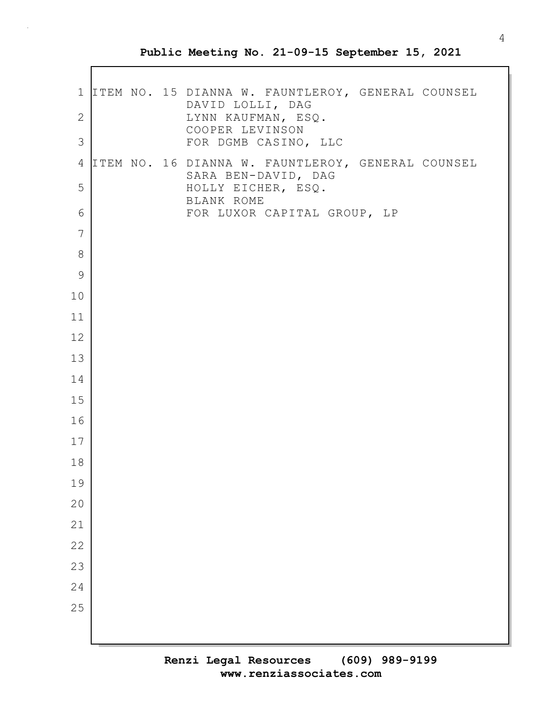|             |  | 1 ITEM NO. 15 DIANNA W. FAUNTLEROY, GENERAL COUNSEL |
|-------------|--|-----------------------------------------------------|
| 2           |  | DAVID LOLLI, DAG<br>LYNN KAUFMAN, ESQ.              |
| 3           |  | COOPER LEVINSON<br>FOR DGMB CASINO, LLC             |
| 4           |  | ITEM NO. 16 DIANNA W. FAUNTLEROY, GENERAL COUNSEL   |
| 5           |  | SARA BEN-DAVID, DAG<br>HOLLY EICHER, ESQ.           |
| 6           |  | BLANK ROME<br>FOR LUXOR CAPITAL GROUP, LP           |
| 7           |  |                                                     |
| 8           |  |                                                     |
| $\mathsf 9$ |  |                                                     |
| 10          |  |                                                     |
| 11<br>12    |  |                                                     |
| 13          |  |                                                     |
| 14          |  |                                                     |
| 15          |  |                                                     |
| 16          |  |                                                     |
| 17          |  |                                                     |
| 18          |  |                                                     |
| 19          |  |                                                     |
| 20          |  |                                                     |
| 21          |  |                                                     |
| 22          |  |                                                     |
| 23          |  |                                                     |
| 24          |  |                                                     |
| 25          |  |                                                     |
|             |  |                                                     |
|             |  |                                                     |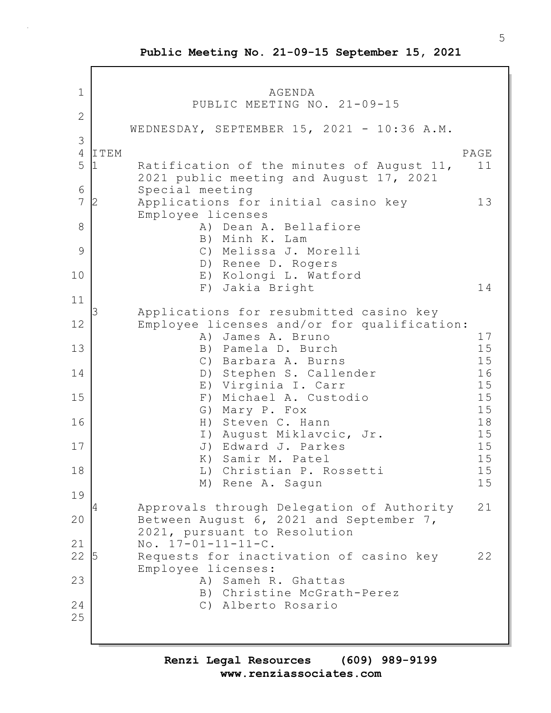1 AGENDA PUBLIC MEETING NO. 21-09-15 2 WEDNESDAY, SEPTEMBER 15, 2021 - 10:36 A.M. 3 4 ITEM PAGE 5 1 Ratification of the minutes of August 11, 11 2021 public meeting and August 17, 2021 6 Special meeting 7 2 Applications for initial casino key 13 Employee licenses 8 | Rean A. Bellafiore B) Minh K. Lam 9 C) Melissa J. Morelli D) Renee D. Rogers 10 E) Kolongi L. Watford F) Jakia Bright 14 11 3 Applications for resubmitted casino key 12 Employee licenses and/or for qualification: A) James A. Bruno 17 13 B) Pamela D. Burch 15 C) Barbara A. Burns 15 14 D) Stephen S. Callender 16 E) Virginia I. Carr 15 15 F) Michael A. Custodio 15 G) Mary P. Fox 15 16 H) Steven C. Hann 18 I) August Miklavcic, Jr. 15 17 J) Edward J. Parkes 15 K) Samir M. Patel 15<br>
L) Christian P. Rossetti 15 18 | L) Christian P. Rossetti M) Rene A. Sagun 15 19 4 Approvals through Delegation of Authority 21 20 Between August 6, 2021 and September 7, 2021, pursuant to Resolution 21 No. 17-01-11-11-C. 22 5 Requests for inactivation of casino key 22 Employee licenses: 23 A) Sameh R. Ghattas B) Christine McGrath-Perez 24 C) Alberto Rosario 25

**www.renziassociates.com Renzi Legal Resources (609) 989-9199**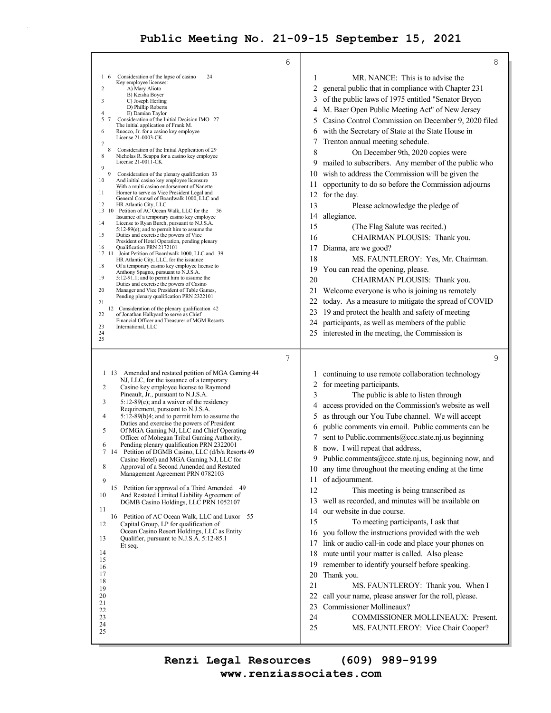$\bar{z}$ 

| 6                                                                                                                                                                                                                                                                                                                                                                                                                                                                                                                                                                                                                                                                                                                                                                                                                                                                                                                                                                                                                                                                                                                                                                                                                                                                                                                                                                                                                                                                                                                                                                                                                                                                                                                                                                        | 8                                                                                                                                                                                                                                                                                                                                                                                                                                                                                                                                                                                                                                                                                                                                                                                                                                                                                                                                                                                                                                                                                                                                                                                                                                                        |
|--------------------------------------------------------------------------------------------------------------------------------------------------------------------------------------------------------------------------------------------------------------------------------------------------------------------------------------------------------------------------------------------------------------------------------------------------------------------------------------------------------------------------------------------------------------------------------------------------------------------------------------------------------------------------------------------------------------------------------------------------------------------------------------------------------------------------------------------------------------------------------------------------------------------------------------------------------------------------------------------------------------------------------------------------------------------------------------------------------------------------------------------------------------------------------------------------------------------------------------------------------------------------------------------------------------------------------------------------------------------------------------------------------------------------------------------------------------------------------------------------------------------------------------------------------------------------------------------------------------------------------------------------------------------------------------------------------------------------------------------------------------------------|----------------------------------------------------------------------------------------------------------------------------------------------------------------------------------------------------------------------------------------------------------------------------------------------------------------------------------------------------------------------------------------------------------------------------------------------------------------------------------------------------------------------------------------------------------------------------------------------------------------------------------------------------------------------------------------------------------------------------------------------------------------------------------------------------------------------------------------------------------------------------------------------------------------------------------------------------------------------------------------------------------------------------------------------------------------------------------------------------------------------------------------------------------------------------------------------------------------------------------------------------------|
| Consideration of the lapse of casino<br>24<br>$1\quad6$<br>Key employee licenses:<br>A) Mary Alioto<br>2<br>B) Keisha Boyer<br>C) Joseph Herling<br>3<br>D) Phillip Roberts<br>$\overline{4}$<br>E) Damian Taylor<br>5<br>Consideration of the Initial Decision IMO 27<br>The initial application of Frank M.<br>6<br>Ruocco, Jr. for a casino key employee<br>License 21-0003-CK<br>7<br>8<br>Consideration of the Initial Application of 29<br>8<br>Nicholas R. Scappa for a casino key employee<br>License 21-0011-CK<br>9<br>9<br>Consideration of the plenary qualification 33<br>10<br>And initial casino key employee licensure<br>With a multi casino endorsement of Nanette<br>11<br>Horner to serve as Vice President Legal and<br>General Counsel of Boardwalk 1000, LLC and<br>12<br>HR Atlantic City, LLC<br>13 10 Petition of AC Ocean Walk, LLC for the<br>36<br>Issuance of a temporary casino key employee<br>14<br>License to Ryan Burch, pursuant to N.J.S.A.<br>$5:12-89(e)$ ; and to permit him to assume the<br>15<br>Duties and exercise the powers of Vice<br>President of Hotel Operation, pending plenary<br>Qualification PRN 2172101<br>16<br>17 11<br>Joint Petition of Boardwalk 1000, LLC and 39<br>HR Atlantic City, LLC, for the issuance<br>18<br>Of a temporary casino key employee license to<br>Anthony Spagno, pursuant to N.J.S.A.<br>19<br>5:12-91.1; and to permit him to assume the<br>Duties and exercise the powers of Casino<br>20<br>Manager and Vice President of Table Games,<br>Pending plenary qualification PRN 2322101<br>21<br>12 Consideration of the plenary qualification 42<br>22<br>of Jonathan Halkyard to serve as Chief<br>Financial Officer and Treasurer of MGM Resorts<br>23<br>International, LLC<br>24 | MR. NANCE: This is to advise the<br>1<br>2<br>general public that in compliance with Chapter 231<br>3<br>of the public laws of 1975 entitled "Senator Bryon<br>M. Baer Open Public Meeting Act" of New Jersey<br>4<br>Casino Control Commission on December 9, 2020 filed<br>5<br>with the Secretary of State at the State House in<br>6<br>Trenton annual meeting schedule.<br>8<br>On December 9th, 2020 copies were<br>mailed to subscribers. Any member of the public who<br>9<br>wish to address the Commission will be given the<br>10<br>opportunity to do so before the Commission adjourns<br>11<br>for the day.<br>12<br>13<br>Please acknowledge the pledge of<br>allegiance.<br>14<br>15<br>(The Flag Salute was recited.)<br>16<br>CHAIRMAN PLOUSIS: Thank you.<br>Dianna, are we good?<br>17<br>18<br>MS. FAUNTLEROY: Yes, Mr. Chairman.<br>You can read the opening, please.<br>19<br>20<br>CHAIRMAN PLOUSIS: Thank you.<br>21<br>Welcome everyone is who is joining us remotely<br>22<br>today. As a measure to mitigate the spread of COVID<br>23<br>19 and protect the health and safety of meeting<br>participants, as well as members of the public<br>24<br>25 interested in the meeting, the Commission is                         |
| 25<br>7<br>1 13 Amended and restated petition of MGA Gaming 44<br>NJ, LLC, for the issuance of a temporary<br>2<br>Casino key employee license to Raymond<br>Pineault, Jr., pursuant to N.J.S.A.<br>3<br>$5:12-89(e)$ ; and a waiver of the residency<br>Requirement, pursuant to N.J.S.A.<br>4<br>$5:12-89(b)4$ ; and to permit him to assume the<br>Duties and exercise the powers of President<br>5<br>Of MGA Gaming NJ, LLC and Chief Operating<br>Officer of Mohegan Tribal Gaming Authority,<br>Pending plenary qualification PRN 2322001<br>6<br>Petition of DGMB Casino, LLC (d/b/a Resorts 49<br>14<br>7<br>Casino Hotel) and MGA Gaming NJ, LLC for<br>8<br>Approval of a Second Amended and Restated<br>Management Agreement PRN 0782103<br>9<br>15 Petition for approval of a Third Amended 49<br>10<br>And Restated Limited Liability Agreement of<br>DGMB Casino Holdings, LLC PRN 1052107<br>11<br>16 Petition of AC Ocean Walk, LLC and Luxor 55<br>12<br>Capital Group, LP for qualification of<br>Ocean Casino Resort Holdings, LLC as Entity<br>13<br>Qualifier, pursuant to N.J.S.A. 5:12-85.1<br>Et seq.<br>14<br>15<br>16<br>17<br>18<br>19<br>20<br>21<br>22<br>23<br>24<br>25                                                                                                                                                                                                                                                                                                                                                                                                                                                                                                                                                                    | 9<br>continuing to use remote collaboration technology<br>1<br>2 for meeting participants.<br>3<br>The public is able to listen through<br>access provided on the Commission's website as well<br>4<br>as through our You Tube channel. We will accept<br>5<br>public comments via email. Public comments can be<br>6<br>sent to Public.comments@ccc.state.nj.us beginning<br>8<br>now. I will repeat that address,<br>Public.comments@ccc.state.nj.us, beginning now, and<br>9<br>any time throughout the meeting ending at the time<br>10<br>of adjournment.<br>11<br>12<br>This meeting is being transcribed as<br>well as recorded, and minutes will be available on<br>13<br>our website in due course.<br>14<br>15<br>To meeting participants, I ask that<br>you follow the instructions provided with the web<br>16<br>link or audio call-in code and place your phones on<br>17<br>18 mute until your matter is called. Also please<br>remember to identify yourself before speaking.<br>19<br>20<br>Thank you.<br>21<br>MS. FAUNTLEROY: Thank you. When I<br>22<br>call your name, please answer for the roll, please.<br>23<br>Commissioner Mollineaux?<br>24<br>COMMISSIONER MOLLINEAUX: Present.<br>25<br>MS. FAUNTLEROY: Vice Chair Cooper? |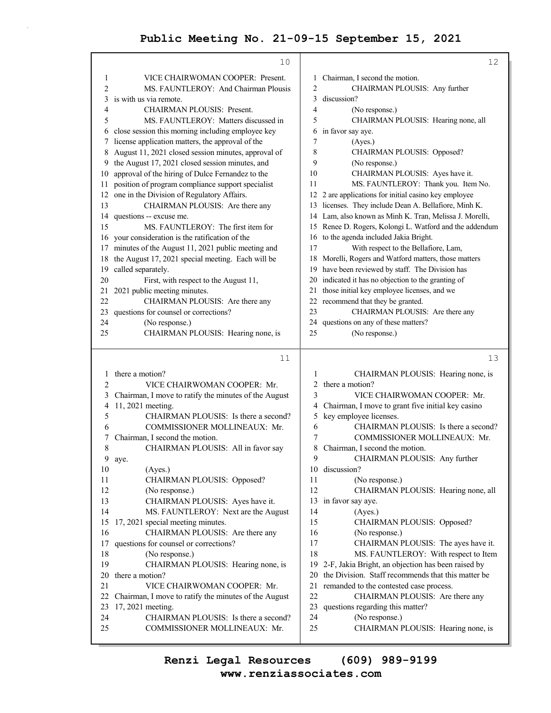|        | 10                                                   |        | 12                                                                   |
|--------|------------------------------------------------------|--------|----------------------------------------------------------------------|
| 1      | VICE CHAIRWOMAN COOPER: Present.                     | 1      | Chairman, I second the motion.                                       |
| 2      | MS. FAUNTLEROY: And Chairman Plousis                 | 2      | CHAIRMAN PLOUSIS: Any further                                        |
| 3      | is with us via remote.                               | 3      | discussion?                                                          |
| 4      | <b>CHAIRMAN PLOUSIS: Present.</b>                    | 4      | (No response.)                                                       |
| 5      | MS. FAUNTLEROY: Matters discussed in                 | 5      | CHAIRMAN PLOUSIS: Hearing none, all                                  |
| 6      | close session this morning including employee key    | 6      | in favor say aye.                                                    |
| 7      | license application matters, the approval of the     | 7      | (Ayes.)                                                              |
| 8      | August 11, 2021 closed session minutes, approval of  | 8      | CHAIRMAN PLOUSIS: Opposed?                                           |
| 9      | the August 17, 2021 closed session minutes, and      | 9      | (No response.)                                                       |
| 10     | approval of the hiring of Dulce Fernandez to the     | 10     | CHAIRMAN PLOUSIS: Ayes have it.                                      |
| 11     | position of program compliance support specialist    | 11     | MS. FAUNTLEROY: Thank you. Item No.                                  |
| 12     | one in the Division of Regulatory Affairs.           |        | 12 2 are applications for initial casino key employee                |
| 13     | CHAIRMAN PLOUSIS: Are there any                      |        | 13 licenses. They include Dean A. Bellafiore, Minh K.                |
| 14     | questions -- excuse me.                              |        | 14 Lam, also known as Minh K. Tran, Melissa J. Morelli,              |
| 15     | MS. FAUNTLEROY: The first item for                   |        | 15 Renee D. Rogers, Kolongi L. Watford and the addendum              |
|        | 16 your consideration is the ratification of the     |        | 16 to the agenda included Jakia Bright.                              |
| 17     | minutes of the August 11, 2021 public meeting and    | 17     | With respect to the Bellafiore, Lam,                                 |
| 18     | the August 17, 2021 special meeting. Each will be    |        | 18 Morelli, Rogers and Watford matters, those matters                |
| 19     | called separately.                                   |        | 19 have been reviewed by staff. The Division has                     |
| 20     | First, with respect to the August 11,                |        | 20 indicated it has no objection to the granting of                  |
| 21     | 2021 public meeting minutes.                         |        | 21 those initial key employee licenses, and we                       |
| 22     | CHAIRMAN PLOUSIS: Are there any                      |        | 22 recommend that they be granted.                                   |
| 23     | questions for counsel or corrections?                | 23     | CHAIRMAN PLOUSIS: Are there any                                      |
| 24     | (No response.)                                       |        | 24 questions on any of these matters?                                |
| 25     | CHAIRMAN PLOUSIS: Hearing none, is                   | 25     | (No response.)                                                       |
|        |                                                      |        |                                                                      |
|        |                                                      |        |                                                                      |
|        | 11                                                   |        | 13                                                                   |
|        |                                                      |        |                                                                      |
| 1      | there a motion?                                      | 1      | CHAIRMAN PLOUSIS: Hearing none, is                                   |
| 2      | VICE CHAIRWOMAN COOPER: Mr.                          | 2      | there a motion?                                                      |
| 3      | Chairman, I move to ratify the minutes of the August | 3      | VICE CHAIRWOMAN COOPER: Mr.                                          |
| 4      | 11, 2021 meeting.                                    | 4      | Chairman, I move to grant five initial key casino                    |
| 5<br>6 | CHAIRMAN PLOUSIS: Is there a second?                 | 5      | key employee licenses.                                               |
| 7      | COMMISSIONER MOLLINEAUX: Mr.                         | 6<br>7 | CHAIRMAN PLOUSIS: Is there a second?<br>COMMISSIONER MOLLINEAUX: Mr. |
|        | Chairman, I second the motion.                       | 8      |                                                                      |
| 8<br>9 | CHAIRMAN PLOUSIS: All in favor say<br>aye.           | 9      | Chairman, I second the motion.                                       |
| 10     | (Ayes.)                                              | 10     | CHAIRMAN PLOUSIS: Any further<br>discussion?                         |
| 11     | CHAIRMAN PLOUSIS: Opposed?                           | 11     | (No response.)                                                       |
| 12     | (No response.)                                       | 12     | CHAIRMAN PLOUSIS: Hearing none, all                                  |
| 13     | CHAIRMAN PLOUSIS: Ayes have it.                      | 13     | in favor say aye.                                                    |
| 14     | MS. FAUNTLEROY: Next are the August                  | 14     | (Ayes.)                                                              |
| 15     | 17, 2021 special meeting minutes.                    | 15     | CHAIRMAN PLOUSIS: Opposed?                                           |
| 16     | CHAIRMAN PLOUSIS: Are there any                      | 16     | (No response.)                                                       |
| 17     | questions for counsel or corrections?                | 17     | CHAIRMAN PLOUSIS: The ayes have it.                                  |
| 18     | (No response.)                                       | 18     | MS. FAUNTLEROY: With respect to Item                                 |
| 19     | CHAIRMAN PLOUSIS: Hearing none, is                   | 19     | 2-F, Jakia Bright, an objection has been raised by                   |
| 20     | there a motion?                                      | 20     | the Division. Staff recommends that this matter be                   |
| 21     | VICE CHAIRWOMAN COOPER: Mr.                          | 21     | remanded to the contested case process.                              |
| 22     | Chairman, I move to ratify the minutes of the August | 22     | CHAIRMAN PLOUSIS: Are there any                                      |
| 23     | 17, 2021 meeting.                                    | 23     | questions regarding this matter?                                     |
| 24     | CHAIRMAN PLOUSIS: Is there a second?                 | 24     | (No response.)                                                       |
| 25     | COMMISSIONER MOLLINEAUX: Mr.                         | 25     | CHAIRMAN PLOUSIS: Hearing none, is                                   |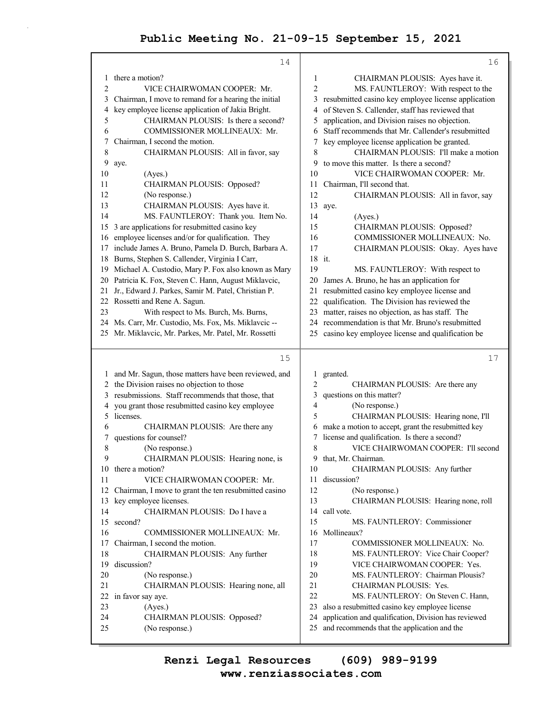|                | 14                                                                                              |                | 16                                                           |
|----------------|-------------------------------------------------------------------------------------------------|----------------|--------------------------------------------------------------|
| 1              | there a motion?                                                                                 | 1              | CHAIRMAN PLOUSIS: Ayes have it.                              |
| $\overline{2}$ | VICE CHAIRWOMAN COOPER: Mr.                                                                     | $\overline{c}$ | MS. FAUNTLEROY: With respect to the                          |
| 3              | Chairman, I move to remand for a hearing the initial                                            | 3              | resubmitted casino key employee license application          |
| 4              | key employee license application of Jakia Bright.                                               | 4              | of Steven S. Callender, staff has reviewed that              |
| 5              | CHAIRMAN PLOUSIS: Is there a second?                                                            | 5              | application, and Division raises no objection.               |
| 6              | COMMISSIONER MOLLINEAUX: Mr.                                                                    | 6              | Staff recommends that Mr. Callender's resubmitted            |
| 7              | Chairman, I second the motion.                                                                  | 7              | key employee license application be granted.                 |
| 8              | CHAIRMAN PLOUSIS: All in favor, say                                                             | 8              | CHAIRMAN PLOUSIS: I'll make a motion                         |
| 9              | aye.                                                                                            | 9              | to move this matter. Is there a second?                      |
| 10             | (Ayes.)                                                                                         | 10             | VICE CHAIRWOMAN COOPER: Mr.                                  |
| 11             | CHAIRMAN PLOUSIS: Opposed?                                                                      | 11             | Chairman, I'll second that.                                  |
| 12             | (No response.)                                                                                  | 12             | CHAIRMAN PLOUSIS: All in favor, say                          |
| 13             | CHAIRMAN PLOUSIS: Ayes have it.                                                                 | 13             | aye.                                                         |
| 14             | MS. FAUNTLEROY: Thank you. Item No.                                                             | 14             | (Ayes.)                                                      |
| 15             | 3 are applications for resubmitted casino key                                                   | 15             | CHAIRMAN PLOUSIS: Opposed?                                   |
| 16             | employee licenses and/or for qualification. They                                                | 16             | COMMISSIONER MOLLINEAUX: No.                                 |
| 17             | include James A. Bruno, Pamela D. Burch, Barbara A.                                             | 17             | CHAIRMAN PLOUSIS: Okay. Ayes have                            |
| 18             | Burns, Stephen S. Callender, Virginia I Carr,                                                   |                | 18 it.                                                       |
| 19             | Michael A. Custodio, Mary P. Fox also known as Mary                                             | 19             | MS. FAUNTLEROY: With respect to                              |
|                | 20 Patricia K. Fox, Steven C. Hann, August Miklavcic,                                           | 20             | James A. Bruno, he has an application for                    |
| 21             | Jr., Edward J. Parkes, Samir M. Patel, Christian P.                                             | 21             | resubmitted casino key employee license and                  |
|                | 22 Rossetti and Rene A. Sagun.                                                                  | 22             | qualification. The Division has reviewed the                 |
| 23             | With respect to Ms. Burch, Ms. Burns,                                                           | 23             | matter, raises no objection, as has staff. The               |
|                | 24 Ms. Carr, Mr. Custodio, Ms. Fox, Ms. Miklavcic --                                            |                | 24 recommendation is that Mr. Bruno's resubmitted            |
|                | 25 Mr. Miklavcic, Mr. Parkes, Mr. Patel, Mr. Rossetti                                           |                | 25 casino key employee license and qualification be          |
|                |                                                                                                 |                |                                                              |
|                |                                                                                                 |                |                                                              |
|                | 15                                                                                              |                | 17                                                           |
| 1              |                                                                                                 | 1              |                                                              |
|                | and Mr. Sagun, those matters have been reviewed, and                                            | 2              | granted.                                                     |
| 3              | 2 the Division raises no objection to those<br>resubmissions. Staff recommends that those, that | 3              | CHAIRMAN PLOUSIS: Are there any<br>questions on this matter? |
| 4              |                                                                                                 | 4              | (No response.)                                               |
| 5              | you grant those resubmitted casino key employee<br>licenses.                                    | 5              | CHAIRMAN PLOUSIS: Hearing none, I'll                         |
| 6              | CHAIRMAN PLOUSIS: Are there any                                                                 | 6              | make a motion to accept, grant the resubmitted key           |
| 7              | questions for counsel?                                                                          | 7              | license and qualification. Is there a second?                |
| 8              | (No response.)                                                                                  | 8              | VICE CHAIRWOMAN COOPER: I'll second                          |
| 9              | CHAIRMAN PLOUSIS: Hearing none, is                                                              | 9              | that, Mr. Chairman.                                          |
|                | 10 there a motion?                                                                              | 10             | CHAIRMAN PLOUSIS: Any further                                |
| 11             | VICE CHAIRWOMAN COOPER: Mr.                                                                     | 11             | discussion?                                                  |
| 12             | Chairman, I move to grant the ten resubmitted casino                                            | 12             | (No response.)                                               |
| 13             | key employee licenses.                                                                          | 13             | CHAIRMAN PLOUSIS: Hearing none, roll                         |
| 14             | CHAIRMAN PLOUSIS: Do I have a                                                                   | 14             | call vote.                                                   |
| 15             | second?                                                                                         | 15             | MS. FAUNTLEROY: Commissioner                                 |
| 16             | COMMISSIONER MOLLINEAUX: Mr.                                                                    | 16             | Mollineaux?                                                  |
| 17             | Chairman, I second the motion.                                                                  | 17             | COMMISSIONER MOLLINEAUX: No.                                 |
| 18             | CHAIRMAN PLOUSIS: Any further                                                                   | 18             | MS. FAUNTLEROY: Vice Chair Cooper?                           |
| 19             | discussion?                                                                                     | 19             | VICE CHAIRWOMAN COOPER: Yes.                                 |
| $20\,$         | (No response.)                                                                                  | 20             | MS. FAUNTLEROY: Chairman Plousis?                            |
| 21             | CHAIRMAN PLOUSIS: Hearing none, all                                                             | 21             | CHAIRMAN PLOUSIS: Yes.                                       |
| 22             | in favor say aye.                                                                               | 22             | MS. FAUNTLEROY: On Steven C. Hann,                           |
| 23             | (Ayes.)                                                                                         | 23             | also a resubmitted casino key employee license               |
| 24             | CHAIRMAN PLOUSIS: Opposed?                                                                      | 24             | application and qualification, Division has reviewed         |
| 25             | (No response.)                                                                                  | 25             | and recommends that the application and the                  |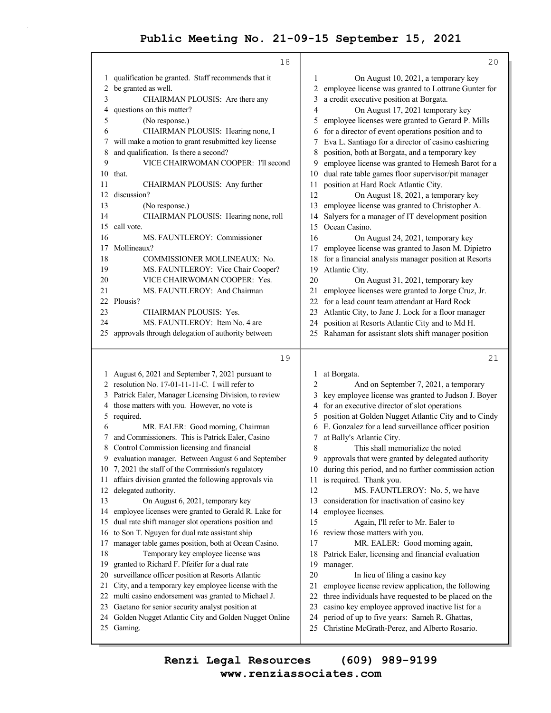|    | 18                                                                                                    | 20                                                                           |
|----|-------------------------------------------------------------------------------------------------------|------------------------------------------------------------------------------|
| 1  | qualification be granted. Staff recommends that it                                                    | 1<br>On August 10, 2021, a temporary key                                     |
| 2  | be granted as well.                                                                                   | employee license was granted to Lottrane Gunter for<br>2                     |
| 3  | CHAIRMAN PLOUSIS: Are there any                                                                       | a credit executive position at Borgata.<br>3                                 |
| 4  | questions on this matter?                                                                             | $\overline{4}$<br>On August 17, 2021 temporary key                           |
| 5  | (No response.)                                                                                        | employee licenses were granted to Gerard P. Mills<br>5                       |
| 6  | CHAIRMAN PLOUSIS: Hearing none, I                                                                     | for a director of event operations position and to<br>6                      |
| 7  | will make a motion to grant resubmitted key license                                                   | Eva L. Santiago for a director of casino cashiering<br>7                     |
| 8  | and qualification. Is there a second?                                                                 | position, both at Borgata, and a temporary key<br>8                          |
| 9  | VICE CHAIRWOMAN COOPER: I'll second                                                                   | employee license was granted to Hemesh Barot for a<br>9                      |
| 10 | that.                                                                                                 | dual rate table games floor supervisor/pit manager<br>10                     |
| 11 | CHAIRMAN PLOUSIS: Any further                                                                         | position at Hard Rock Atlantic City.<br>11                                   |
| 12 | discussion?                                                                                           | 12<br>On August 18, 2021, a temporary key                                    |
| 13 | (No response.)                                                                                        | employee license was granted to Christopher A.<br>13                         |
| 14 | CHAIRMAN PLOUSIS: Hearing none, roll                                                                  | Salyers for a manager of IT development position<br>14                       |
| 15 | call vote.                                                                                            | Ocean Casino.<br>15                                                          |
| 16 | MS. FAUNTLEROY: Commissioner                                                                          | 16<br>On August 24, 2021, temporary key                                      |
| 17 | Mollineaux?                                                                                           | employee license was granted to Jason M. Dipietro<br>17                      |
| 18 | COMMISSIONER MOLLINEAUX: No.                                                                          | for a financial analysis manager position at Resorts<br>18                   |
| 19 | MS. FAUNTLEROY: Vice Chair Cooper?                                                                    | Atlantic City.<br>19                                                         |
| 20 | VICE CHAIRWOMAN COOPER: Yes.                                                                          | 20<br>On August 31, 2021, temporary key                                      |
| 21 | MS. FAUNTLEROY: And Chairman                                                                          | employee licenses were granted to Jorge Cruz, Jr.<br>21                      |
| 22 | Plousis?                                                                                              | for a lead count team attendant at Hard Rock<br>22                           |
| 23 | CHAIRMAN PLOUSIS: Yes.                                                                                | Atlantic City, to Jane J. Lock for a floor manager<br>23                     |
| 24 | MS. FAUNTLEROY: Item No. 4 are                                                                        | position at Resorts Atlantic City and to Md H.<br>24                         |
| 25 | approvals through delegation of authority between                                                     | Rahaman for assistant slots shift manager position<br>25                     |
|    |                                                                                                       |                                                                              |
|    | 19                                                                                                    | 21                                                                           |
|    |                                                                                                       |                                                                              |
|    | 1 August 6, 2021 and September 7, 2021 pursuant to<br>2 resolution No. 17-01-11-11-C. I will refer to | at Borgata.<br>1                                                             |
|    |                                                                                                       | 2<br>And on September 7, 2021, a temporary                                   |
| 4  | 3 Patrick Ealer, Manager Licensing Division, to review                                                | key employee license was granted to Judson J. Boyer<br>3<br>4                |
| 5  | those matters with you. However, no vote is                                                           | for an executive director of slot operations<br>5                            |
| 6  | required.<br>MR. EALER: Good morning, Chairman                                                        | position at Golden Nugget Atlantic City and to Cindy<br>6                    |
| 7  |                                                                                                       | E. Gonzalez for a lead surveillance officer position<br>7                    |
| 8  | and Commissioners. This is Patrick Ealer, Casino<br>Control Commission licensing and financial        | at Bally's Atlantic City.<br>$\,$ 8 $\,$<br>This shall memorialize the noted |
| 9  | evaluation manager. Between August 6 and September                                                    | approvals that were granted by delegated authority<br>9                      |
| 10 | 7, 2021 the staff of the Commission's regulatory                                                      | during this period, and no further commission action<br>10                   |
| 11 | affairs division granted the following approvals via                                                  | is required. Thank you.<br>11                                                |
| 12 | delegated authority.                                                                                  | 12<br>MS. FAUNTLEROY: No. 5, we have                                         |
| 13 | On August 6, 2021, temporary key                                                                      | 13<br>consideration for inactivation of casino key                           |
| 14 | employee licenses were granted to Gerald R. Lake for                                                  | employee licenses.<br>14                                                     |
| 15 | dual rate shift manager slot operations position and                                                  | 15<br>Again, I'll refer to Mr. Ealer to                                      |
| 16 | to Son T. Nguyen for dual rate assistant ship                                                         | review those matters with you.<br>16                                         |
| 17 | manager table games position, both at Ocean Casino.                                                   | 17<br>MR. EALER: Good morning again,                                         |
| 18 | Temporary key employee license was                                                                    | 18<br>Patrick Ealer, licensing and financial evaluation                      |
| 19 | granted to Richard F. Pfeifer for a dual rate                                                         | 19<br>manager.                                                               |
| 20 | surveillance officer position at Resorts Atlantic                                                     | 20<br>In lieu of filing a casino key                                         |
| 21 | City, and a temporary key employee license with the                                                   | 21<br>employee license review application, the following                     |
| 22 | multi casino endorsement was granted to Michael J.                                                    | three individuals have requested to be placed on the<br>22                   |
| 23 | Gaetano for senior security analyst position at                                                       | casino key employee approved inactive list for a<br>23                       |
|    | 24 Golden Nugget Atlantic City and Golden Nugget Online                                               | period of up to five years: Sameh R. Ghattas,<br>24                          |
|    | 25 Gaming.                                                                                            | Christine McGrath-Perez, and Alberto Rosario.<br>25                          |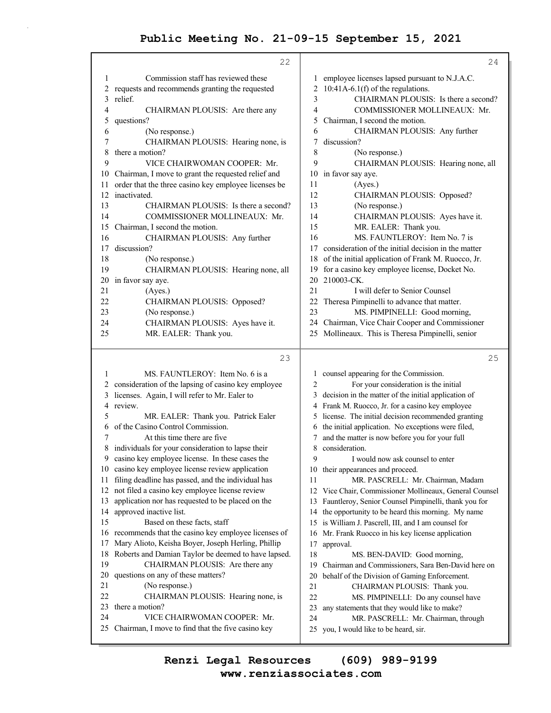|                | 22                                                                               | 24                                                                                  |
|----------------|----------------------------------------------------------------------------------|-------------------------------------------------------------------------------------|
| 1              | Commission staff has reviewed these                                              | employee licenses lapsed pursuant to N.J.A.C.<br>1                                  |
| 2              | requests and recommends granting the requested                                   | $10:41A-6.1(f)$ of the regulations.<br>2                                            |
| 3              | relief.                                                                          | 3<br>CHAIRMAN PLOUSIS: Is there a second?                                           |
| $\overline{4}$ | CHAIRMAN PLOUSIS: Are there any                                                  | COMMISSIONER MOLLINEAUX: Mr.<br>4                                                   |
| 5              | questions?                                                                       | 5<br>Chairman, I second the motion.                                                 |
| 6              | (No response.)                                                                   | 6<br>CHAIRMAN PLOUSIS: Any further                                                  |
| 7              | CHAIRMAN PLOUSIS: Hearing none, is                                               | discussion?<br>7                                                                    |
| 8              | there a motion?                                                                  | 8<br>(No response.)                                                                 |
| 9              | VICE CHAIRWOMAN COOPER: Mr.                                                      | 9<br>CHAIRMAN PLOUSIS: Hearing none, all                                            |
| 10             | Chairman, I move to grant the requested relief and                               | in favor say aye.<br>10                                                             |
| 11             | order that the three casino key employee licenses be                             | (Ayes.)<br>11                                                                       |
| 12             | inactivated.                                                                     | 12<br>CHAIRMAN PLOUSIS: Opposed?                                                    |
| 13             | CHAIRMAN PLOUSIS: Is there a second?                                             | 13<br>(No response.)                                                                |
| 14<br>15       | COMMISSIONER MOLLINEAUX: Mr.                                                     | CHAIRMAN PLOUSIS: Ayes have it.<br>14<br>15                                         |
| 16             | Chairman, I second the motion.<br>CHAIRMAN PLOUSIS: Any further                  | MR. EALER: Thank you.<br>MS. FAUNTLEROY: Item No. 7 is<br>16                        |
| 17             | discussion?                                                                      | consideration of the initial decision in the matter<br>17                           |
| 18             | (No response.)                                                                   | of the initial application of Frank M. Ruocco, Jr.<br>18                            |
| 19             | CHAIRMAN PLOUSIS: Hearing none, all                                              | for a casino key employee license, Docket No.<br>19                                 |
| 20             | in favor say aye.                                                                | 210003-CK.<br>20                                                                    |
| 21             | (Ayes.)                                                                          | 21<br>I will defer to Senior Counsel                                                |
| 22             | CHAIRMAN PLOUSIS: Opposed?                                                       | 22<br>Theresa Pimpinelli to advance that matter.                                    |
| 23             | (No response.)                                                                   | 23<br>MS. PIMPINELLI: Good morning,                                                 |
| 24             | CHAIRMAN PLOUSIS: Ayes have it.                                                  | Chairman, Vice Chair Cooper and Commissioner<br>24                                  |
| 25             | MR. EALER: Thank you.                                                            | Mollineaux. This is Theresa Pimpinelli, senior<br>25                                |
|                |                                                                                  |                                                                                     |
|                |                                                                                  |                                                                                     |
|                | 23                                                                               | 25                                                                                  |
| 1              | MS. FAUNTLEROY: Item No. 6 is a                                                  | counsel appearing for the Commission.<br>1                                          |
| 2              | consideration of the lapsing of casino key employee                              | For your consideration is the initial<br>2                                          |
| 3              | licenses. Again, I will refer to Mr. Ealer to                                    | decision in the matter of the initial application of<br>3                           |
| 4              | review.                                                                          | 4 Frank M. Ruocco, Jr. for a casino key employee                                    |
| 5              | MR. EALER: Thank you. Patrick Ealer                                              | 5 license. The initial decision recommended granting                                |
| 6              | of the Casino Control Commission.                                                | the initial application. No exceptions were filed,<br>6                             |
| 7              | At this time there are five                                                      | and the matter is now before you for your full<br>7                                 |
|                | 8 individuals for your consideration to lapse their                              | 8 consideration.                                                                    |
| 9              | casino key employee license. In these cases the                                  | 9<br>I would now ask counsel to enter                                               |
| 10             | casino key employee license review application                                   | 10 their appearances and proceed.                                                   |
| 11             | filing deadline has passed, and the individual has                               | 11<br>MR. PASCRELL: Mr. Chairman, Madam                                             |
| 12<br>13       | not filed a casino key employee license review                                   | Vice Chair, Commissioner Mollineaux, General Counsel<br>12                          |
| 14             | application nor has requested to be placed on the                                | 13 Fauntleroy, Senior Counsel Pimpinelli, thank you for<br>14                       |
| 15             | approved inactive list.<br>Based on these facts, staff                           | the opportunity to be heard this morning. My name                                   |
|                | 16 recommends that the casino key employee licenses of                           | 15 is William J. Pascrell, III, and I am counsel for<br>16                          |
| 17             | Mary Alioto, Keisha Boyer, Joseph Herling, Phillip                               | Mr. Frank Ruocco in his key license application<br>17<br>approval.                  |
| 18             | Roberts and Damian Taylor be deemed to have lapsed.                              | 18<br>MS. BEN-DAVID: Good morning,                                                  |
| 19             | CHAIRMAN PLOUSIS: Are there any                                                  | Chairman and Commissioners, Sara Ben-David here on<br>19                            |
| 20             | questions on any of these matters?                                               | behalf of the Division of Gaming Enforcement.<br>20                                 |
| 21             | (No response.)                                                                   | 21<br>CHAIRMAN PLOUSIS: Thank you.                                                  |
| 22             | CHAIRMAN PLOUSIS: Hearing none, is                                               | 22<br>MS. PIMPINELLI: Do any counsel have                                           |
| 23             | there a motion?                                                                  | 23<br>any statements that they would like to make?                                  |
| 24<br>25       | VICE CHAIRWOMAN COOPER: Mr.<br>Chairman, I move to find that the five casino key | 24<br>MR. PASCRELL: Mr. Chairman, through<br>25 you, I would like to be heard, sir. |

**www.renziassociates.com Renzi Legal Resources (609) 989-9199**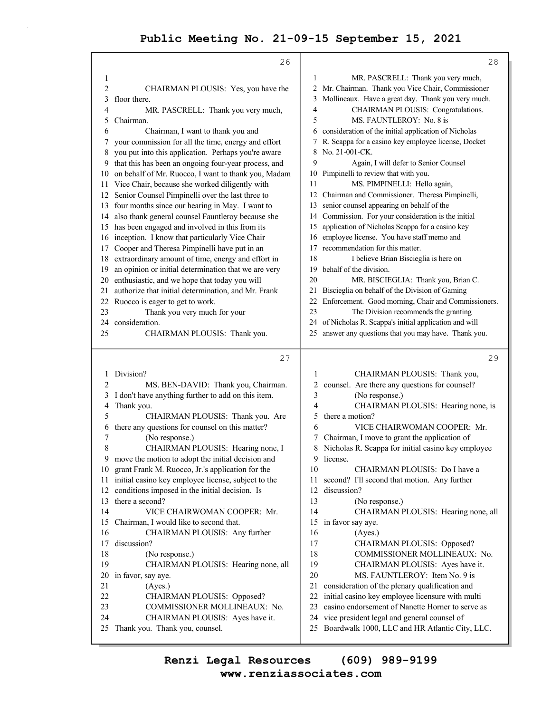|                | 26                                                                    |          | 28                                                       |
|----------------|-----------------------------------------------------------------------|----------|----------------------------------------------------------|
| 1              |                                                                       | 1        | MR. PASCRELL: Thank you very much,                       |
| $\overline{c}$ | CHAIRMAN PLOUSIS: Yes, you have the                                   | 2        | Mr. Chairman. Thank you Vice Chair, Commissioner         |
| 3              | floor there.                                                          | 3        | Mollineaux. Have a great day. Thank you very much.       |
| 4              | MR. PASCRELL: Thank you very much,                                    | 4        | CHAIRMAN PLOUSIS: Congratulations.                       |
| 5              | Chairman.                                                             | 5        | MS. FAUNTLEROY: No. 8 is                                 |
| 6              | Chairman, I want to thank you and                                     | 6        | consideration of the initial application of Nicholas     |
| 7              | your commission for all the time, energy and effort                   |          | R. Scappa for a casino key employee license, Docket      |
| 8              | you put into this application. Perhaps you're aware                   | 8        | No. 21-001-CK.                                           |
| 9              | that this has been an ongoing four-year process, and                  | 9        | Again, I will defer to Senior Counsel                    |
| 10             | on behalf of Mr. Ruocco, I want to thank you, Madam                   |          | 10 Pimpinelli to review that with you.                   |
| 11             | Vice Chair, because she worked diligently with                        | 11       | MS. PIMPINELLI: Hello again,                             |
| 12             | Senior Counsel Pimpinelli over the last three to                      |          | 12 Chairman and Commissioner. Theresa Pimpinelli,        |
|                | 13 four months since our hearing in May. I want to                    | 13       | senior counsel appearing on behalf of the                |
| 14             | also thank general counsel Fauntleroy because she                     | 14       | Commission. For your consideration is the initial        |
| 15             | has been engaged and involved in this from its                        | 15       | application of Nicholas Scappa for a casino key          |
| 16             | inception. I know that particularly Vice Chair                        | 16       | employee license. You have staff memo and                |
| 17             | Cooper and Theresa Pimpinelli have put in an                          | 17       | recommendation for this matter.                          |
| 18             | extraordinary amount of time, energy and effort in                    | 18       | I believe Brian Biscieglia is here on                    |
| 19             | an opinion or initial determination that we are very                  | 19       | behalf of the division.                                  |
| 20             | enthusiastic, and we hope that today you will                         | 20       | MR. BISCIEGLIA: Thank you, Brian C.                      |
| 21             | authorize that initial determination, and Mr. Frank                   | 21       | Biscieglia on behalf of the Division of Gaming           |
| 22             | Ruocco is eager to get to work.                                       | 22       | Enforcement. Good morning, Chair and Commissioners.      |
| 23             | Thank you very much for your                                          | 23       | The Division recommends the granting                     |
| 24             | consideration.                                                        | 24       | of Nicholas R. Scappa's initial application and will     |
| 25             | CHAIRMAN PLOUSIS: Thank you.                                          | 25       | answer any questions that you may have. Thank you.       |
|                |                                                                       |          |                                                          |
|                |                                                                       |          |                                                          |
|                | 27                                                                    |          | 29                                                       |
| 1              | Division?                                                             | 1        | CHAIRMAN PLOUSIS: Thank you,                             |
| 2              | MS. BEN-DAVID: Thank you, Chairman.                                   | 2        | counsel. Are there any questions for counsel?            |
| 3              | I don't have anything further to add on this item.                    | 3        | (No response.)                                           |
| 4              | Thank you.                                                            | 4        | CHAIRMAN PLOUSIS: Hearing none, is                       |
| 5              | CHAIRMAN PLOUSIS: Thank you. Are                                      | 5        | there a motion?                                          |
| 6              | there any questions for counsel on this matter?                       | 6        | VICE CHAIRWOMAN COOPER: Mr.                              |
| 7              | (No response.)                                                        | 7        | Chairman, I move to grant the application of             |
| 8              | CHAIRMAN PLOUSIS: Hearing none, I                                     | 8        | Nicholas R. Scappa for initial casino key employee       |
|                | 9 move the motion to adopt the initial decision and                   |          | 9 license.                                               |
| 11             | 10 grant Frank M. Ruocco, Jr.'s application for the                   | 10       | CHAIRMAN PLOUSIS: Do I have a                            |
| 12             | initial casino key employee license, subject to the                   | 11<br>12 | second? I'll second that motion. Any further             |
| 13             | conditions imposed in the initial decision. Is<br>there a second?     | 13       | discussion?                                              |
| 14             |                                                                       | 14       | (No response.)                                           |
| 15             | VICE CHAIRWOMAN COOPER: Mr.<br>Chairman, I would like to second that. | 15       | CHAIRMAN PLOUSIS: Hearing none, all<br>in favor say aye. |
| 16             | CHAIRMAN PLOUSIS: Any further                                         | 16       | (Ayes.)                                                  |
| 17             | discussion?                                                           | 17       | CHAIRMAN PLOUSIS: Opposed?                               |
| 18             | (No response.)                                                        | 18       | COMMISSIONER MOLLINEAUX: No.                             |
| 19             | CHAIRMAN PLOUSIS: Hearing none, all                                   | 19       | CHAIRMAN PLOUSIS: Ayes have it.                          |
| 20             | in favor, say aye.                                                    | 20       | MS. FAUNTLEROY: Item No. 9 is                            |
| 21             | (Ayes.)                                                               | 21       | consideration of the plenary qualification and           |
| 22             | CHAIRMAN PLOUSIS: Opposed?                                            | 22       | initial casino key employee licensure with multi         |
| 23             | COMMISSIONER MOLLINEAUX: No.                                          | 23       | casino endorsement of Nanette Horner to serve as         |
| 24             | CHAIRMAN PLOUSIS: Ayes have it.                                       | 24       | vice president legal and general counsel of              |
| 25             | Thank you. Thank you, counsel.                                        | 25       | Boardwalk 1000, LLC and HR Atlantic City, LLC.           |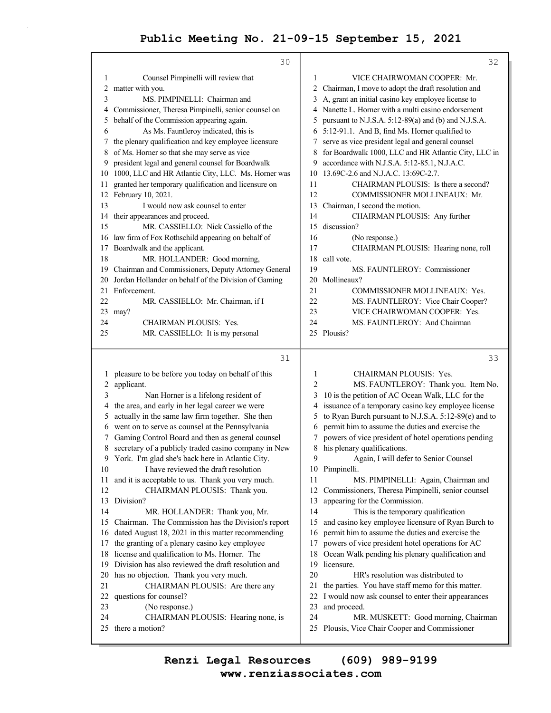|          | 30                                                    |                | 32                                                                                    |
|----------|-------------------------------------------------------|----------------|---------------------------------------------------------------------------------------|
| 1        | Counsel Pimpinelli will review that                   | 1              | VICE CHAIRWOMAN COOPER: Mr.                                                           |
| 2        | matter with you.                                      | 2              | Chairman, I move to adopt the draft resolution and                                    |
| 3        | MS. PIMPINELLI: Chairman and                          | 3              | A, grant an initial casino key employee license to                                    |
| 4        | Commissioner, Theresa Pimpinelli, senior counsel on   |                | 4 Nanette L. Horner with a multi casino endorsement                                   |
| 5        | behalf of the Commission appearing again.             | 5              | pursuant to N.J.S.A. 5:12-89(a) and (b) and N.J.S.A.                                  |
| 6        | As Ms. Fauntleroy indicated, this is                  |                | 6 5:12-91.1. And B, find Ms. Horner qualified to                                      |
| 7        | the plenary qualification and key employee licensure  | 7              | serve as vice president legal and general counsel                                     |
| 8        | of Ms. Horner so that she may serve as vice           | 8              | for Boardwalk 1000, LLC and HR Atlantic City, LLC in                                  |
| 9        | president legal and general counsel for Boardwalk     | 9              | accordance with N.J.S.A. 5:12-85.1, N.J.A.C.                                          |
| 10       | 1000, LLC and HR Atlantic City, LLC. Ms. Horner was   | 10             | 13.69C-2.6 and N.J.A.C. 13:69C-2.7.                                                   |
| 11       | granted her temporary qualification and licensure on  | 11             | CHAIRMAN PLOUSIS: Is there a second?                                                  |
|          | 12 February 10, 2021.                                 | 12             | COMMISSIONER MOLLINEAUX: Mr.                                                          |
| 13       | I would now ask counsel to enter                      | 13             | Chairman, I second the motion.                                                        |
| 14       | their appearances and proceed.                        | 14             | CHAIRMAN PLOUSIS: Any further                                                         |
| 15       | MR. CASSIELLO: Nick Cassiello of the                  | 15             | discussion?                                                                           |
| 16       | law firm of Fox Rothschild appearing on behalf of     | 16             | (No response.)                                                                        |
| 17       | Boardwalk and the applicant.                          | 17             | CHAIRMAN PLOUSIS: Hearing none, roll                                                  |
| 18       | MR. HOLLANDER: Good morning,                          | 18             | call vote.                                                                            |
| 19       | Chairman and Commissioners, Deputy Attorney General   | 19             | MS. FAUNTLEROY: Commissioner                                                          |
| 20       | Jordan Hollander on behalf of the Division of Gaming  | 20             | Mollineaux?                                                                           |
| 21       | Enforcement.                                          | 21             | COMMISSIONER MOLLINEAUX: Yes.                                                         |
| 22       | MR. CASSIELLO: Mr. Chairman, if I                     | 22             | MS. FAUNTLEROY: Vice Chair Cooper?                                                    |
| 23       | may?                                                  | 23             | VICE CHAIRWOMAN COOPER: Yes.                                                          |
| 24       | CHAIRMAN PLOUSIS: Yes.                                | 24             | MS. FAUNTLEROY: And Chairman                                                          |
| 25       | MR. CASSIELLO: It is my personal                      |                | 25 Plousis?                                                                           |
|          |                                                       |                |                                                                                       |
|          |                                                       |                |                                                                                       |
|          | 31                                                    |                | 33                                                                                    |
| $\perp$  | pleasure to be before you today on behalf of this     | 1              | CHAIRMAN PLOUSIS: Yes.                                                                |
| 2        | applicant.                                            | $\overline{c}$ | MS. FAUNTLEROY: Thank you. Item No.                                                   |
| 3        | Nan Horner is a lifelong resident of                  | 3              | 10 is the petition of AC Ocean Walk, LLC for the                                      |
| 4        | the area, and early in her legal career we were       | 4              | issuance of a temporary casino key employee license                                   |
| 5        | actually in the same law firm together. She then      | 5              | to Ryan Burch pursuant to N.J.S.A. 5:12-89(e) and to                                  |
| 6        | went on to serve as counsel at the Pennsylvania       | 6              | permit him to assume the duties and exercise the                                      |
| 7        | Gaming Control Board and then as general counsel      | 7              | powers of vice president of hotel operations pending                                  |
| 8        | secretary of a publicly traded casino company in New  | 8              | his plenary qualifications.                                                           |
|          | 9 York. I'm glad she's back here in Atlantic City.    | 9              | Again, I will defer to Senior Counsel                                                 |
| 10       | I have reviewed the draft resolution                  |                | 10 Pimpinelli.                                                                        |
| 11       | and it is acceptable to us. Thank you very much.      | 11             | MS. PIMPINELLI: Again, Chairman and                                                   |
| 12       | CHAIRMAN PLOUSIS: Thank you.                          | 12             | Commissioners, Theresa Pimpinelli, senior counsel                                     |
| 13       | Division?                                             | 13             | appearing for the Commission.                                                         |
| 14       | MR. HOLLANDER: Thank you, Mr.                         | 14             | This is the temporary qualification                                                   |
| 15       | Chairman. The Commission has the Division's report    | 15             | and casino key employee licensure of Ryan Burch to                                    |
| 16       | dated August 18, 2021 in this matter recommending     | 16             | permit him to assume the duties and exercise the                                      |
| 17       | the granting of a plenary casino key employee         | 17             | powers of vice president hotel operations for AC                                      |
| 18       | license and qualification to Ms. Horner. The          | 18             | Ocean Walk pending his plenary qualification and                                      |
| 19       | Division has also reviewed the draft resolution and   | 19             | licensure.                                                                            |
| 20       | has no objection. Thank you very much.                | 20             | HR's resolution was distributed to                                                    |
| 21       | CHAIRMAN PLOUSIS: Are there any                       | 21             | the parties. You have staff memo for this matter.                                     |
| 22       | questions for counsel?                                | 22             | I would now ask counsel to enter their appearances                                    |
| 23       | (No response.)                                        | 23             | and proceed.                                                                          |
| 24<br>25 | CHAIRMAN PLOUSIS: Hearing none, is<br>there a motion? | 24             | MR. MUSKETT: Good morning, Chairman<br>25 Plousis, Vice Chair Cooper and Commissioner |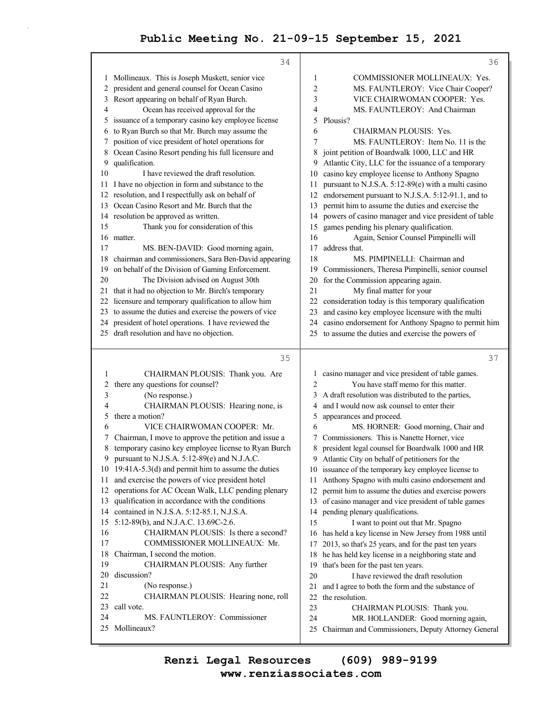|          | 34                                                                                                      |                | 36                                                                                                      |
|----------|---------------------------------------------------------------------------------------------------------|----------------|---------------------------------------------------------------------------------------------------------|
|          | 1 Mollineaux. This is Joseph Muskett, senior vice                                                       | 1              | COMMISSIONER MOLLINEAUX: Yes.                                                                           |
|          | 2 president and general counsel for Ocean Casino                                                        | $\overline{c}$ | MS. FAUNTLEROY: Vice Chair Cooper?                                                                      |
| 3        | Resort appearing on behalf of Ryan Burch.                                                               | 3              | VICE CHAIRWOMAN COOPER: Yes.                                                                            |
| 4        | Ocean has received approval for the                                                                     | 4              | MS. FAUNTLEROY: And Chairman                                                                            |
| 5.       | issuance of a temporary casino key employee license                                                     | 5              | Plousis?                                                                                                |
| 6        | to Ryan Burch so that Mr. Burch may assume the                                                          | 6              | CHAIRMAN PLOUSIS: Yes.                                                                                  |
| 7        | position of vice president of hotel operations for                                                      | 7              | MS. FAUNTLEROY: Item No. 11 is the                                                                      |
| 8        | Ocean Casino Resort pending his full licensure and                                                      | 8              | joint petition of Boardwalk 1000, LLC and HR                                                            |
| 9        | qualification.                                                                                          | 9              | Atlantic City, LLC for the issuance of a temporary                                                      |
| 10       | I have reviewed the draft resolution.                                                                   | 10             | casino key employee license to Anthony Spagno                                                           |
| 11       | I have no objection in form and substance to the                                                        | 11             | pursuant to N.J.S.A. 5:12-89(e) with a multi casino                                                     |
| 12       | resolution, and I respectfully ask on behalf of                                                         | 12             | endorsement pursuant to N.J.S.A. 5:12-91.1, and to                                                      |
| 13       | Ocean Casino Resort and Mr. Burch that the                                                              | 13             | permit him to assume the duties and exercise the                                                        |
| 14       | resolution be approved as written.                                                                      | 14             | powers of casino manager and vice president of table                                                    |
| 15       | Thank you for consideration of this                                                                     | 15             | games pending his plenary qualification.                                                                |
| 16       | matter.                                                                                                 | 16<br>17       | Again, Senior Counsel Pimpinelli will<br>address that.                                                  |
| 17       | MS. BEN-DAVID: Good morning again,<br>chairman and commissioners, Sara Ben-David appearing              |                | MS. PIMPINELLI: Chairman and                                                                            |
| 18       | on behalf of the Division of Gaming Enforcement.                                                        | 18<br>19       | Commissioners, Theresa Pimpinelli, senior counsel                                                       |
| 19<br>20 | The Division advised on August 30th                                                                     | 20             | for the Commission appearing again.                                                                     |
| 21       | that it had no objection to Mr. Birch's temporary                                                       | 21             | My final matter for your                                                                                |
| 22       | licensure and temporary qualification to allow him                                                      | 22             | consideration today is this temporary qualification                                                     |
| 23       | to assume the duties and exercise the powers of vice                                                    | 23             | and casino key employee licensure with the multi                                                        |
|          | 24 president of hotel operations. I have reviewed the                                                   | 24             | casino endorsement for Anthony Spagno to permit him                                                     |
|          | 25 draft resolution and have no objection.                                                              | 25             | to assume the duties and exercise the powers of                                                         |
|          |                                                                                                         |                |                                                                                                         |
|          | 35                                                                                                      |                | 37                                                                                                      |
| 1        | CHAIRMAN PLOUSIS: Thank you. Are                                                                        | 1              | casino manager and vice president of table games.                                                       |
| 2        | there any questions for counsel?                                                                        | $\overline{c}$ | You have staff memo for this matter.                                                                    |
| 3        | (No response.)                                                                                          | 3              | A draft resolution was distributed to the parties,                                                      |
| 4        | CHAIRMAN PLOUSIS: Hearing none, is                                                                      | 4              | and I would now ask counsel to enter their                                                              |
| 5        | there a motion?                                                                                         | 5              | appearances and proceed.                                                                                |
| 6        | VICE CHAIRWOMAN COOPER: Mr.                                                                             | 6              | MS. HORNER: Good morning, Chair and                                                                     |
| 7        | Chairman, I move to approve the petition and issue a                                                    | 7              | Commissioners. This is Nanette Horner, vice                                                             |
| 8        | temporary casino key employee license to Ryan Burch                                                     | 8              | president legal counsel for Boardwalk 1000 and HR                                                       |
| 9        | pursuant to N.J.S.A. 5:12-89(e) and N.J.A.C.                                                            |                | 9 Atlantic City on behalf of petitioners for the                                                        |
| 11       | 10 19:41A-5.3(d) and permit him to assume the duties<br>and exercise the powers of vice president hotel |                | 10 issuance of the temporary key employee license to                                                    |
| 12       | operations for AC Ocean Walk, LLC pending plenary                                                       | 11<br>12       | Anthony Spagno with multi casino endorsement and<br>permit him to assume the duties and exercise powers |
| 13       | qualification in accordance with the conditions                                                         |                | 13 of casino manager and vice president of table games                                                  |
| 14       | contained in N.J.S.A. 5:12-85.1, N.J.S.A.                                                               | 14             | pending plenary qualifications.                                                                         |
| 15       | 5:12-89(b), and N.J.A.C. 13.69C-2.6.                                                                    | 15             | I want to point out that Mr. Spagno                                                                     |
| 16       | CHAIRMAN PLOUSIS: Is there a second?                                                                    | 16             | has held a key license in New Jersey from 1988 until                                                    |
| 17       | COMMISSIONER MOLLINEAUX: Mr.                                                                            | 17             | 2013, so that's 25 years, and for the past ten years                                                    |
| 18       | Chairman, I second the motion.                                                                          | 18             | he has held key license in a neighboring state and                                                      |
| 19       | CHAIRMAN PLOUSIS: Any further                                                                           | 19             | that's been for the past ten years.                                                                     |
| 20       | discussion?                                                                                             | 20             | I have reviewed the draft resolution                                                                    |
|          |                                                                                                         |                |                                                                                                         |
| 21       | (No response.)                                                                                          | 21             |                                                                                                         |
| 22       | CHAIRMAN PLOUSIS: Hearing none, roll                                                                    | 22             | and I agree to both the form and the substance of<br>the resolution.                                    |
| 23       | call vote.                                                                                              | 23             | CHAIRMAN PLOUSIS: Thank you.                                                                            |
| 24       | MS. FAUNTLEROY: Commissioner                                                                            | 24             | MR. HOLLANDER: Good morning again,                                                                      |
| 25       | Mollineaux?                                                                                             | 25             | Chairman and Commissioners, Deputy Attorney General                                                     |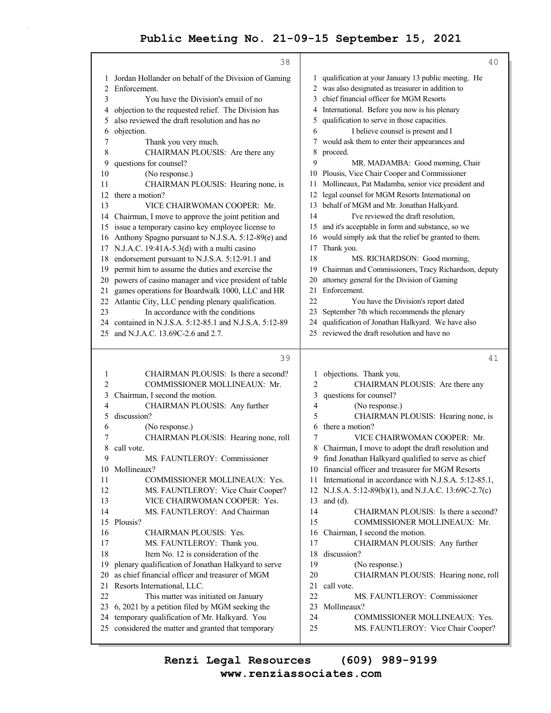|          | 38                                                                                                     | 40                                                                                               |
|----------|--------------------------------------------------------------------------------------------------------|--------------------------------------------------------------------------------------------------|
| 1        | Jordan Hollander on behalf of the Division of Gaming                                                   | 1 qualification at your January 13 public meeting. He                                            |
| 2        | Enforcement.                                                                                           | 2 was also designated as treasurer in addition to                                                |
| 3        | You have the Division's email of no                                                                    | chief financial officer for MGM Resorts<br>3                                                     |
| 4        | objection to the requested relief. The Division has                                                    | International. Before you now is his plenary<br>4                                                |
| 5        | also reviewed the draft resolution and has no                                                          | qualification to serve in those capacities.<br>5                                                 |
| 6        | objection.                                                                                             | I believe counsel is present and I<br>6                                                          |
| 7        | Thank you very much.                                                                                   | would ask them to enter their appearances and<br>7                                               |
| 8        | CHAIRMAN PLOUSIS: Are there any                                                                        | 8<br>proceed.                                                                                    |
| 9        | questions for counsel?                                                                                 | 9<br>MR. MADAMBA: Good morning, Chair                                                            |
| 10       | (No response.)                                                                                         | Plousis, Vice Chair Cooper and Commissioner<br>10                                                |
| 11       | CHAIRMAN PLOUSIS: Hearing none, is                                                                     | Mollineaux, Pat Madamba, senior vice president and<br>11                                         |
| 12       | there a motion?                                                                                        | legal counsel for MGM Resorts International on<br>12                                             |
| 13       | VICE CHAIRWOMAN COOPER: Mr.                                                                            | behalf of MGM and Mr. Jonathan Halkyard.<br>13                                                   |
| 14       | Chairman, I move to approve the joint petition and                                                     | I've reviewed the draft resolution,<br>14                                                        |
| 15       | issue a temporary casino key employee license to                                                       | and it's acceptable in form and substance, so we<br>15                                           |
| 16       | Anthony Spagno pursuant to N.J.S.A. 5:12-89(e) and                                                     | would simply ask that the relief be granted to them.<br>16                                       |
| 17       | N.J.A.C. 19:41A-5.3(d) with a multi casino                                                             | Thank you.<br>17                                                                                 |
| 18       | endorsement pursuant to N.J.S.A. 5:12-91.1 and                                                         | 18<br>MS. RICHARDSON: Good morning,                                                              |
| 19       | permit him to assume the duties and exercise the                                                       | Chairman and Commissioners, Tracy Richardson, deputy<br>19                                       |
| 20       | powers of casino manager and vice president of table                                                   | attorney general for the Division of Gaming<br>20                                                |
| 21       | games operations for Boardwalk 1000, LLC and HR                                                        | Enforcement.<br>21<br>22                                                                         |
| 22       | Atlantic City, LLC pending plenary qualification.                                                      | You have the Division's report dated                                                             |
| 23       | In accordance with the conditions<br>24 contained in N.J.S.A. 5:12-85.1 and N.J.S.A. 5:12-89           | September 7th which recommends the plenary<br>23<br>24                                           |
| 25       | and N.J.A.C. 13.69C-2.6 and 2.7.                                                                       | qualification of Jonathan Halkyard. We have also<br>25 reviewed the draft resolution and have no |
|          |                                                                                                        |                                                                                                  |
|          |                                                                                                        |                                                                                                  |
|          | 39                                                                                                     | 41                                                                                               |
| 1        | CHAIRMAN PLOUSIS: Is there a second?                                                                   | objections. Thank you.<br>1                                                                      |
| 2        | COMMISSIONER MOLLINEAUX: Mr.                                                                           | $\overline{2}$<br>CHAIRMAN PLOUSIS: Are there any                                                |
| 3        | Chairman, I second the motion.                                                                         | 3<br>questions for counsel?                                                                      |
| 4        | CHAIRMAN PLOUSIS: Any further                                                                          | 4<br>(No response.)                                                                              |
| 5        | discussion?                                                                                            | 5<br>CHAIRMAN PLOUSIS: Hearing none, is                                                          |
| 6        | (No response.)                                                                                         | there a motion?<br>6                                                                             |
| 7        | CHAIRMAN PLOUSIS: Hearing none, roll                                                                   | 7<br>VICE CHAIRWOMAN COOPER: Mr.                                                                 |
| 8        | call vote.                                                                                             | 8<br>Chairman, I move to adopt the draft resolution and                                          |
| 9        | MS. FAUNTLEROY: Commissioner                                                                           | 9 find Jonathan Halkyard qualified to serve as chief                                             |
| 10       | Mollineaux?                                                                                            | financial officer and treasurer for MGM Resorts<br>10                                            |
| 11       | COMMISSIONER MOLLINEAUX: Yes.                                                                          | International in accordance with N.J.S.A. 5:12-85.1,<br>11                                       |
| 12       | MS. FAUNTLEROY: Vice Chair Cooper?                                                                     | 12 N.J.S.A. 5:12-89(b)(1), and N.J.A.C. 13:69C-2.7(c)                                            |
| 13       | VICE CHAIRWOMAN COOPER: Yes.                                                                           | 13<br>and $(d)$ .                                                                                |
| 14       | MS. FAUNTLEROY: And Chairman                                                                           | 14<br>CHAIRMAN PLOUSIS: Is there a second?                                                       |
| 15       | Plousis?                                                                                               | 15<br>COMMISSIONER MOLLINEAUX: Mr.                                                               |
| 16       | CHAIRMAN PLOUSIS: Yes.                                                                                 | 16<br>Chairman, I second the motion.                                                             |
| 17       | MS. FAUNTLEROY: Thank you.                                                                             | 17<br>CHAIRMAN PLOUSIS: Any further                                                              |
| 18<br>19 | Item No. 12 is consideration of the                                                                    | 18<br>discussion?                                                                                |
| 20       | plenary qualification of Jonathan Halkyard to serve<br>as chief financial officer and treasurer of MGM | 19<br>(No response.)<br>20                                                                       |
| 21       |                                                                                                        | CHAIRMAN PLOUSIS: Hearing none, roll<br>21<br>call vote.                                         |
| 22       | Resorts International, LLC.<br>This matter was initiated on January                                    | 22<br>MS. FAUNTLEROY: Commissioner                                                               |
|          | 23 6, 2021 by a petition filed by MGM seeking the                                                      | 23<br>Mollineaux?                                                                                |
| 24       | temporary qualification of Mr. Halkyard. You                                                           | 24<br>COMMISSIONER MOLLINEAUX: Yes.                                                              |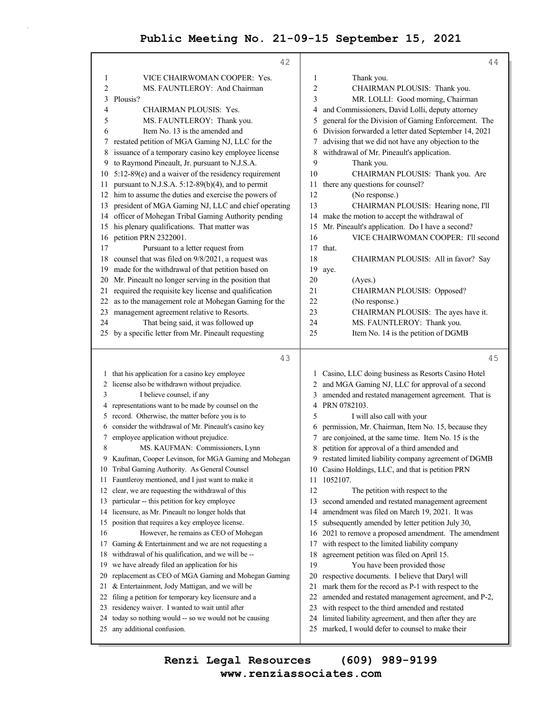|                | 42                                                     |    | 44                                                                                                     |
|----------------|--------------------------------------------------------|----|--------------------------------------------------------------------------------------------------------|
| 1              | VICE CHAIRWOMAN COOPER: Yes.                           | 1  | Thank you.                                                                                             |
| $\overline{c}$ | MS. FAUNTLEROY: And Chairman                           | 2  | CHAIRMAN PLOUSIS: Thank you.                                                                           |
| 3              | Plousis?                                               | 3  | MR. LOLLI: Good morning, Chairman                                                                      |
| 4              | CHAIRMAN PLOUSIS: Yes.                                 | 4  | and Commissioners, David Lolli, deputy attorney                                                        |
| 5              | MS. FAUNTLEROY: Thank you.                             | 5  | general for the Division of Gaming Enforcement. The                                                    |
| 6              | Item No. 13 is the amended and                         | 6  | Division forwarded a letter dated September 14, 2021                                                   |
| 7              | restated petition of MGA Gaming NJ, LLC for the        | 7  | advising that we did not have any objection to the                                                     |
| 8              | issuance of a temporary casino key employee license    | 8  | withdrawal of Mr. Pineault's application.                                                              |
| 9              | to Raymond Pineault, Jr. pursuant to N.J.S.A.          | 9  | Thank you.                                                                                             |
| 10             | 5:12-89(e) and a waiver of the residency requirement   | 10 | CHAIRMAN PLOUSIS: Thank you. Are                                                                       |
| 11.            | pursuant to N.J.S.A. 5:12-89(b)(4), and to permit      | 11 | there any questions for counsel?                                                                       |
|                | 12 him to assume the duties and exercise the powers of | 12 | (No response.)                                                                                         |
| 13             | president of MGA Gaming NJ, LLC and chief operating    | 13 | CHAIRMAN PLOUSIS: Hearing none, I'll                                                                   |
|                | 14 officer of Mohegan Tribal Gaming Authority pending  | 14 | make the motion to accept the withdrawal of                                                            |
| 15             | his plenary qualifications. That matter was            | 15 | Mr. Pineault's application. Do I have a second?                                                        |
|                | 16 petition PRN 2322001.                               | 16 | VICE CHAIRWOMAN COOPER: I'll second                                                                    |
| 17             | Pursuant to a letter request from                      | 17 | that.                                                                                                  |
| 18             | counsel that was filed on 9/8/2021, a request was      | 18 | CHAIRMAN PLOUSIS: All in favor? Say                                                                    |
| 19             | made for the withdrawal of that petition based on      | 19 | aye.                                                                                                   |
| 20             | Mr. Pineault no longer serving in the position that    | 20 | (Ayes.)                                                                                                |
| 21             | required the requisite key license and qualification   | 21 | CHAIRMAN PLOUSIS: Opposed?                                                                             |
| 22             | as to the management role at Mohegan Gaming for the    | 22 | (No response.)                                                                                         |
| 23             | management agreement relative to Resorts.              | 23 | CHAIRMAN PLOUSIS: The ayes have it.                                                                    |
| 24             | That being said, it was followed up                    | 24 | MS. FAUNTLEROY: Thank you.                                                                             |
|                | 25 by a specific letter from Mr. Pineault requesting   | 25 | Item No. 14 is the petition of DGMB                                                                    |
|                |                                                        |    |                                                                                                        |
|                | 43                                                     |    | 45                                                                                                     |
|                | 1 that his application for a casino key employee       |    | 1 Casino, LLC doing business as Resorts Casino Hotel                                                   |
|                | 2 license also be withdrawn without prejudice.         |    | 2 and MGA Gaming NJ, LLC for approval of a second                                                      |
| 3              | I believe counsel, if any                              | 3  | amended and restated management agreement. That is                                                     |
|                | 4 representations want to be made by counsel on the    | 4  | PRN 0782103.                                                                                           |
|                | 5 record. Otherwise, the matter before you is to       | 5  | I will also call with your                                                                             |
| 6              | consider the withdrawal of Mr. Pineault's casino key   | 6  | permission, Mr. Chairman, Item No. 15, because they                                                    |
| 7              | employee application without prejudice.                | 7  | are conjoined, at the same time. Item No. 15 is the                                                    |
| 8              | MS. KAUFMAN: Commissioners, Lynn                       | 8  | petition for approval of a third amended and                                                           |
| 9.             | Kaufman, Cooper Levinson, for MGA Gaming and Mohegan   | 9  | restated limited liability company agreement of DGMB                                                   |
|                | 10 Tribal Gaming Authority. As General Counsel         |    | 10 Casino Holdings, LLC, and that is petition PRN                                                      |
| 11             | Fauntleroy mentioned, and I just want to make it       | 11 | 1052107.                                                                                               |
| 12             | clear, we are requesting the withdrawal of this        | 12 | The petition with respect to the                                                                       |
| 13             | particular -- this petition for key employee           | 13 | second amended and restated management agreement                                                       |
| 14             | licensure, as Mr. Pineault no longer holds that        | 14 | amendment was filed on March 19, 2021. It was                                                          |
| 15             | position that requires a key employee license.         | 15 | subsequently amended by letter petition July 30,                                                       |
| 16             | However, he remains as CEO of Mohegan                  | 16 | 2021 to remove a proposed amendment. The amendment                                                     |
| 17             | Gaming & Entertainment and we are not requesting a     | 17 | with respect to the limited liability company                                                          |
| 18             | withdrawal of his qualification, and we will be --     | 18 | agreement petition was filed on April 15.                                                              |
| 19             | we have already filed an application for his           | 19 | You have been provided those                                                                           |
| 20             | replacement as CEO of MGA Gaming and Mohegan Gaming    | 20 | respective documents. I believe that Daryl will                                                        |
| 21             | & Entertainment, Jody Mattigan, and we will be         | 21 | mark them for the record as P-1 with respect to the                                                    |
| 22             | filing a petition for temporary key licensure and a    | 22 | amended and restated management agreement, and P-2,                                                    |
| 23             | residency waiver. I wanted to wait until after         | 23 | with respect to the third amended and restated                                                         |
| 24             | today so nothing would -- so we would not be causing   | 24 | limited liability agreement, and then after they are<br>marked, I would defer to counsel to make their |
| 25             | any additional confusion.                              | 25 |                                                                                                        |
|                |                                                        |    |                                                                                                        |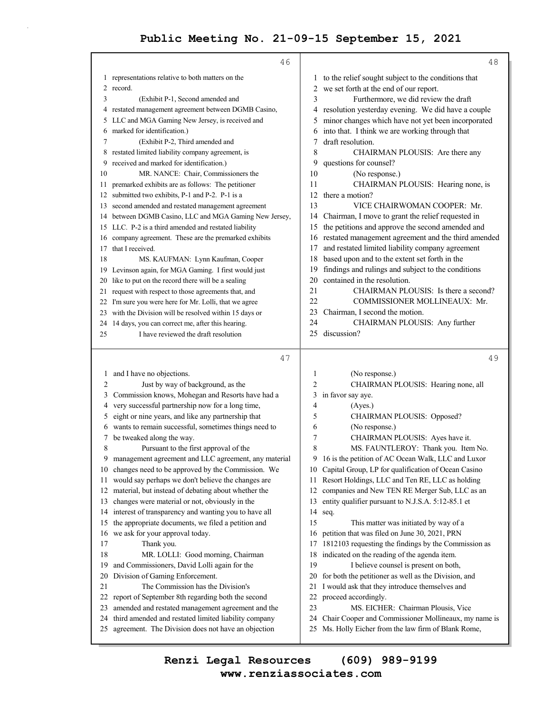|    | 46                                                                                                            |                | 48                                                                                                        |
|----|---------------------------------------------------------------------------------------------------------------|----------------|-----------------------------------------------------------------------------------------------------------|
|    | 1 representations relative to both matters on the                                                             |                | 1 to the relief sought subject to the conditions that                                                     |
|    | 2 record.                                                                                                     |                | 2 we set forth at the end of our report.                                                                  |
| 3  | (Exhibit P-1, Second amended and                                                                              | 3              | Furthermore, we did review the draft                                                                      |
| 4  | restated management agreement between DGMB Casino,                                                            | 4              | resolution yesterday evening. We did have a couple                                                        |
| 5  | LLC and MGA Gaming New Jersey, is received and                                                                | 5              | minor changes which have not yet been incorporated                                                        |
| 6  | marked for identification.)                                                                                   | 6              | into that. I think we are working through that                                                            |
| 7  | (Exhibit P-2, Third amended and                                                                               | 7              | draft resolution.                                                                                         |
| 8  | restated limited liability company agreement, is                                                              | 8              | CHAIRMAN PLOUSIS: Are there any                                                                           |
| 9  | received and marked for identification.)                                                                      | 9              | questions for counsel?                                                                                    |
| 10 | MR. NANCE: Chair, Commissioners the                                                                           | 10             | (No response.)                                                                                            |
| 11 | premarked exhibits are as follows: The petitioner                                                             | 11             | CHAIRMAN PLOUSIS: Hearing none, is                                                                        |
| 12 | submitted two exhibits, P-1 and P-2. P-1 is a                                                                 | 12             | there a motion?                                                                                           |
| 13 | second amended and restated management agreement                                                              | 13             | VICE CHAIRWOMAN COOPER: Mr.                                                                               |
| 14 | between DGMB Casino, LLC and MGA Gaming New Jersey,                                                           | 14             | Chairman, I move to grant the relief requested in                                                         |
|    | 15 LLC. P-2 is a third amended and restated liability                                                         | 15             | the petitions and approve the second amended and                                                          |
| 16 | company agreement. These are the premarked exhibits                                                           |                | 16 restated management agreement and the third amended                                                    |
| 17 | that I received.                                                                                              | 17             | and restated limited liability company agreement                                                          |
| 18 | MS. KAUFMAN: Lynn Kaufman, Cooper                                                                             | 18             | based upon and to the extent set forth in the                                                             |
| 19 | Levinson again, for MGA Gaming. I first would just                                                            | 19             | findings and rulings and subject to the conditions                                                        |
| 20 | like to put on the record there will be a sealing                                                             | 20             | contained in the resolution.                                                                              |
| 21 | request with respect to those agreements that, and                                                            | 21             | CHAIRMAN PLOUSIS: Is there a second?                                                                      |
|    | 22 I'm sure you were here for Mr. Lolli, that we agree                                                        | 22             | COMMISSIONER MOLLINEAUX: Mr.                                                                              |
| 23 | with the Division will be resolved within 15 days or                                                          | 23             | Chairman, I second the motion.                                                                            |
|    | 24 14 days, you can correct me, after this hearing.                                                           | 24             | CHAIRMAN PLOUSIS: Any further                                                                             |
| 25 | I have reviewed the draft resolution                                                                          | 25.            | discussion?                                                                                               |
|    |                                                                                                               |                |                                                                                                           |
|    |                                                                                                               |                |                                                                                                           |
|    | 47                                                                                                            |                | 49                                                                                                        |
|    | 1 and I have no objections.                                                                                   | 1              | (No response.)                                                                                            |
| 2  | Just by way of background, as the                                                                             | $\overline{c}$ | CHAIRMAN PLOUSIS: Hearing none, all                                                                       |
| 3  | Commission knows, Mohegan and Resorts have had a                                                              | 3              | in favor say aye.                                                                                         |
| 4  | very successful partnership now for a long time,                                                              | 4              | (Ayes.)                                                                                                   |
| 5  | eight or nine years, and like any partnership that                                                            | 5              | CHAIRMAN PLOUSIS: Opposed?                                                                                |
| 6  | wants to remain successful, sometimes things need to                                                          | 6              | (No response.)                                                                                            |
| 7  | be tweaked along the way.                                                                                     | 7              | CHAIRMAN PLOUSIS: Ayes have it.                                                                           |
| 8  | Pursuant to the first approval of the                                                                         | 8              | MS. FAUNTLEROY: Thank you. Item No.                                                                       |
| 9  | management agreement and LLC agreement, any material                                                          | 9              | 16 is the petition of AC Ocean Walk, LLC and Luxor                                                        |
|    | 10 changes need to be approved by the Commission. We                                                          |                | 10 Capital Group, LP for qualification of Ocean Casino                                                    |
| 11 | would say perhaps we don't believe the changes are                                                            | 11             | Resort Holdings, LLC and Ten RE, LLC as holding                                                           |
| 12 | material, but instead of debating about whether the                                                           | 12             | companies and New TEN RE Merger Sub, LLC as an                                                            |
| 13 | changes were material or not, obviously in the                                                                | 13             | entity qualifier pursuant to N.J.S.A. 5:12-85.1 et                                                        |
| 14 | interest of transparency and wanting you to have all                                                          | 14             | seq.                                                                                                      |
| 15 | the appropriate documents, we filed a petition and                                                            | 15             | This matter was initiated by way of a                                                                     |
| 16 | we ask for your approval today.                                                                               | 16             | petition that was filed on June 30, 2021, PRN                                                             |
| 17 | Thank you.                                                                                                    | 17             | 1812103 requesting the findings by the Commission as                                                      |
| 18 | MR. LOLLI: Good morning, Chairman                                                                             | 18             | indicated on the reading of the agenda item.                                                              |
| 19 | and Commissioners, David Lolli again for the                                                                  | 19             | I believe counsel is present on both,                                                                     |
| 20 | Division of Gaming Enforcement.                                                                               | 20             | for both the petitioner as well as the Division, and                                                      |
| 21 | The Commission has the Division's                                                                             | 21             | I would ask that they introduce themselves and                                                            |
|    | 22 report of September 8th regarding both the second                                                          | 22             | proceed accordingly.                                                                                      |
| 23 | amended and restated management agreement and the                                                             | 23             | MS. EICHER: Chairman Plousis, Vice                                                                        |
| 24 | third amended and restated limited liability company<br>25 agreement. The Division does not have an objection | 24<br>25       | Chair Cooper and Commissioner Mollineaux, my name is<br>Ms. Holly Eicher from the law firm of Blank Rome, |

**www.renziassociates.com Renzi Legal Resources (609) 989-9199**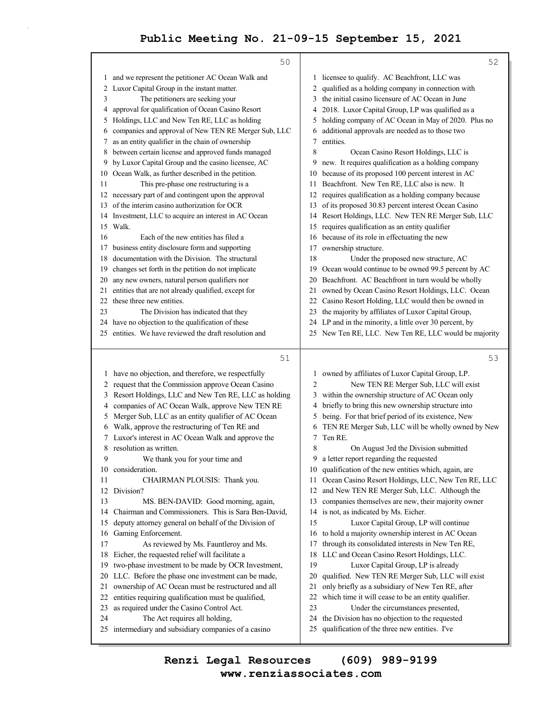|          | 50                                                                                    |          | 52                                                                                              |
|----------|---------------------------------------------------------------------------------------|----------|-------------------------------------------------------------------------------------------------|
|          | 1 and we represent the petitioner AC Ocean Walk and                                   |          | 1 licensee to qualify. AC Beachfront, LLC was                                                   |
|          | 2 Luxor Capital Group in the instant matter.                                          |          | 2 qualified as a holding company in connection with                                             |
| 3        | The petitioners are seeking your                                                      |          | 3 the initial casino licensure of AC Ocean in June                                              |
| 4        | approval for qualification of Ocean Casino Resort                                     |          | 4 2018. Luxor Capital Group, LP was qualified as a                                              |
| 5        | Holdings, LLC and New Ten RE, LLC as holding                                          | 5        | holding company of AC Ocean in May of 2020. Plus no                                             |
| 6        | companies and approval of New TEN RE Merger Sub, LLC                                  | 6        | additional approvals are needed as to those two                                                 |
| 7        | as an entity qualifier in the chain of ownership                                      | 7        | entities.                                                                                       |
| 8        | between certain license and approved funds managed                                    | 8        | Ocean Casino Resort Holdings, LLC is                                                            |
| 9        | by Luxor Capital Group and the casino licensee, AC                                    | 9        | new. It requires qualification as a holding company                                             |
|          | 10 Ocean Walk, as further described in the petition.                                  |          | 10 because of its proposed 100 percent interest in AC                                           |
| 11       | This pre-phase one restructuring is a                                                 |          | 11 Beachfront. New Ten RE, LLC also is new. It                                                  |
|          | 12 necessary part of and contingent upon the approval                                 |          | 12 requires qualification as a holding company because                                          |
| 13       | of the interim casino authorization for OCR                                           | 13       | of its proposed 30.83 percent interest Ocean Casino                                             |
| 14       | Investment, LLC to acquire an interest in AC Ocean                                    | 14       | Resort Holdings, LLC. New TEN RE Merger Sub, LLC                                                |
| 15       | Walk.                                                                                 | 15       | requires qualification as an entity qualifier                                                   |
| 16       | Each of the new entities has filed a                                                  | 16       | because of its role in effectuating the new                                                     |
| 17       | business entity disclosure form and supporting                                        | 17       | ownership structure.                                                                            |
| 18       | documentation with the Division. The structural                                       | 18       | Under the proposed new structure, AC                                                            |
| 19       | changes set forth in the petition do not implicate                                    | 19       | Ocean would continue to be owned 99.5 percent by AC                                             |
| 20       | any new owners, natural person qualifiers nor                                         | 20       | Beachfront. AC Beachfront in turn would be wholly                                               |
| 21       | entities that are not already qualified, except for                                   | 21       | owned by Ocean Casino Resort Holdings, LLC. Ocean                                               |
| 22       | these three new entities.                                                             |          | 22 Casino Resort Holding, LLC would then be owned in                                            |
| 23       | The Division has indicated that they                                                  |          | 23 the majority by affiliates of Luxor Capital Group,                                           |
| 24       | have no objection to the qualification of these                                       |          | 24 LP and in the minority, a little over 30 percent, by                                         |
|          | 25 entities. We have reviewed the draft resolution and                                |          | 25 New Ten RE, LLC. New Ten RE, LLC would be majority                                           |
|          |                                                                                       |          |                                                                                                 |
|          |                                                                                       |          |                                                                                                 |
|          | $51$                                                                                  |          | 53                                                                                              |
|          |                                                                                       |          |                                                                                                 |
|          | 1 have no objection, and therefore, we respectfully                                   |          | 1 owned by affiliates of Luxor Capital Group, LP.                                               |
|          | 2 request that the Commission approve Ocean Casino                                    | 2        | New TEN RE Merger Sub, LLC will exist                                                           |
| 3        | Resort Holdings, LLC and New Ten RE, LLC as holding                                   | 3        | within the ownership structure of AC Ocean only                                                 |
| 4        | companies of AC Ocean Walk, approve New TEN RE                                        | 4        | briefly to bring this new ownership structure into                                              |
| 5        | Merger Sub, LLC as an entity qualifier of AC Ocean                                    | 5        | being. For that brief period of its existence, New                                              |
| 6        | Walk, approve the restructuring of Ten RE and                                         | 6        | TEN RE Merger Sub, LLC will be wholly owned by New                                              |
| 7        | Luxor's interest in AC Ocean Walk and approve the                                     | 7        | Ten RE.                                                                                         |
| 8        | resolution as written.                                                                | 8        | On August 3rd the Division submitted                                                            |
| 9        | We thank you for your time and                                                        |          | 9 a letter report regarding the requested                                                       |
| 10       | consideration.                                                                        |          | 10 qualification of the new entities which, again, are                                          |
| 11       | CHAIRMAN PLOUSIS: Thank you.                                                          |          | 11 Ocean Casino Resort Holdings, LLC, New Ten RE, LLC                                           |
| 12       | Division?                                                                             | 12       | and New TEN RE Merger Sub, LLC. Although the                                                    |
| 13       | MS. BEN-DAVID: Good morning, again,                                                   | 13       | companies themselves are new, their majority owner                                              |
| 14       | Chairman and Commissioners. This is Sara Ben-David,                                   | 14       | is not, as indicated by Ms. Eicher.                                                             |
| 15       | deputy attorney general on behalf of the Division of                                  | 15       | Luxor Capital Group, LP will continue                                                           |
| 16       | Gaming Enforcement.                                                                   | 16       | to hold a majority ownership interest in AC Ocean                                               |
| 17       | As reviewed by Ms. Fauntleroy and Ms.                                                 | 17       | through its consolidated interests in New Ten RE,                                               |
| 18<br>19 | Eicher, the requested relief will facilitate a                                        | 18<br>19 | LLC and Ocean Casino Resort Holdings, LLC.                                                      |
| 20       | two-phase investment to be made by OCR Investment,                                    |          | Luxor Capital Group, LP is already                                                              |
| 21       | LLC. Before the phase one investment can be made,                                     | 20<br>21 | qualified. New TEN RE Merger Sub, LLC will exist                                                |
| 22       | ownership of AC Ocean must be restructured and all                                    | 22       | only briefly as a subsidiary of New Ten RE, after                                               |
|          | entities requiring qualification must be qualified,                                   | 23       | which time it will cease to be an entity qualifier.                                             |
| 23<br>24 | as required under the Casino Control Act.                                             | 24       | Under the circumstances presented,                                                              |
|          | The Act requires all holding,<br>25 intermediary and subsidiary companies of a casino | 25       | the Division has no objection to the requested<br>qualification of the three new entities. I've |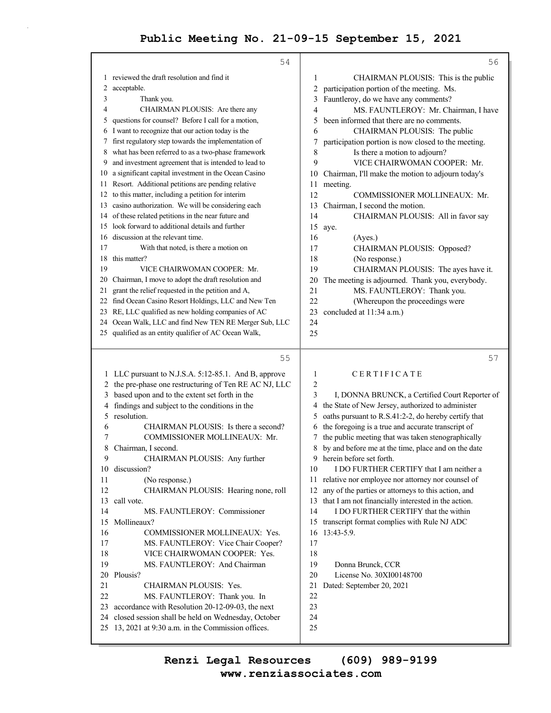|     | 54                                                                                                        |          | 56                                                    |
|-----|-----------------------------------------------------------------------------------------------------------|----------|-------------------------------------------------------|
|     | 1 reviewed the draft resolution and find it                                                               | 1        | CHAIRMAN PLOUSIS: This is the public                  |
| 2   | acceptable.                                                                                               | 2        | participation portion of the meeting. Ms.             |
| 3   | Thank you.                                                                                                | 3        | Fauntleroy, do we have any comments?                  |
| 4   | CHAIRMAN PLOUSIS: Are there any                                                                           | 4        | MS. FAUNTLEROY: Mr. Chairman, I have                  |
| 5   | questions for counsel? Before I call for a motion,                                                        | 5        | been informed that there are no comments.             |
|     | 6 I want to recognize that our action today is the                                                        | 6        | CHAIRMAN PLOUSIS: The public                          |
| 7.  | first regulatory step towards the implementation of                                                       | 7        | participation portion is now closed to the meeting.   |
| 8   | what has been referred to as a two-phase framework                                                        | 8        | Is there a motion to adjourn?                         |
| 9   | and investment agreement that is intended to lead to                                                      | 9        | VICE CHAIRWOMAN COOPER: Mr.                           |
| 10  | a significant capital investment in the Ocean Casino                                                      | 10       | Chairman, I'll make the motion to adjourn today's     |
| 11. | Resort. Additional petitions are pending relative                                                         | 11       | meeting.                                              |
| 12  | to this matter, including a petition for interim                                                          | 12       | COMMISSIONER MOLLINEAUX: Mr.                          |
| 13  | casino authorization. We will be considering each                                                         | 13       | Chairman, I second the motion.                        |
| 14  | of these related petitions in the near future and                                                         | 14       | CHAIRMAN PLOUSIS: All in favor say                    |
| 15  | look forward to additional details and further                                                            | 15       | aye.                                                  |
| 16  | discussion at the relevant time.                                                                          | 16       | (Ayes.)                                               |
| 17  | With that noted, is there a motion on                                                                     | 17       | CHAIRMAN PLOUSIS: Opposed?                            |
| 18  | this matter?                                                                                              | 18       | (No response.)                                        |
| 19  | VICE CHAIRWOMAN COOPER: Mr.                                                                               | 19       | CHAIRMAN PLOUSIS: The ayes have it.                   |
| 20  | Chairman, I move to adopt the draft resolution and                                                        | 20       | The meeting is adjourned. Thank you, everybody.       |
| 21  | grant the relief requested in the petition and A,                                                         | 21       | MS. FAUNTLEROY: Thank you.                            |
|     | 22 find Ocean Casino Resort Holdings, LLC and New Ten                                                     | 22       | (Whereupon the proceedings were                       |
|     | 23 RE, LLC qualified as new holding companies of AC                                                       | 23       | concluded at 11:34 a.m.)                              |
|     | 24 Ocean Walk, LLC and find New TEN RE Merger Sub, LLC                                                    | 24       |                                                       |
|     | 25 qualified as an entity qualifier of AC Ocean Walk,                                                     | 25       |                                                       |
|     |                                                                                                           |          |                                                       |
|     | 55                                                                                                        |          | 57                                                    |
|     |                                                                                                           | 1        | CERTIFICATE                                           |
| 2   | 1 LLC pursuant to N.J.S.A. 5:12-85.1. And B, approve                                                      | 2        |                                                       |
| 3   | the pre-phase one restructuring of Ten RE AC NJ, LLC                                                      | 3        | I, DONNA BRUNCK, a Certified Court Reporter of        |
| 4   | based upon and to the extent set forth in the<br>findings and subject to the conditions in the            | 4        | the State of New Jersey, authorized to administer     |
| 5   | resolution.                                                                                               | 5        | oaths pursuant to R.S.41:2-2, do hereby certify that  |
| 6   | CHAIRMAN PLOUSIS: Is there a second?                                                                      | 6        | the foregoing is a true and accurate transcript of    |
| 7   | COMMISSIONER MOLLINEAUX: Mr.                                                                              |          | the public meeting that was taken stenographically    |
| 8   | Chairman, I second.                                                                                       |          | 8 by and before me at the time, place and on the date |
| 9   | CHAIRMAN PLOUSIS: Any further                                                                             |          | 9 herein before set forth.                            |
| 10  | discussion?                                                                                               | 10       | I DO FURTHER CERTIFY that I am neither a              |
| 11  | (No response.)                                                                                            |          | 11 relative nor employee nor attorney nor counsel of  |
| 12  | CHAIRMAN PLOUSIS: Hearing none, roll                                                                      | 12       | any of the parties or attorneys to this action, and   |
| 13  | call vote.                                                                                                | 13       | that I am not financially interested in the action.   |
| 14  | MS. FAUNTLEROY: Commissioner                                                                              | 14       | I DO FURTHER CERTIFY that the within                  |
| 15  | Mollineaux?                                                                                               | 15       | transcript format complies with Rule NJ ADC           |
| 16  | COMMISSIONER MOLLINEAUX: Yes.                                                                             | 16       | 13:43-5.9.                                            |
| 17  | MS. FAUNTLEROY: Vice Chair Cooper?                                                                        | 17       |                                                       |
| 18  | VICE CHAIRWOMAN COOPER: Yes.                                                                              | 18       |                                                       |
| 19  | MS. FAUNTLEROY: And Chairman                                                                              | 19       | Donna Brunck, CCR                                     |
| 20  | Plousis?                                                                                                  | 20       | License No. 30XI00148700                              |
| 21  | CHAIRMAN PLOUSIS: Yes.                                                                                    | 21       | Dated: September 20, 2021                             |
| 22  | MS. FAUNTLEROY: Thank you. In                                                                             | 22       |                                                       |
| 23  | accordance with Resolution 20-12-09-03, the next                                                          | 23       |                                                       |
| 24  | closed session shall be held on Wednesday, October<br>25 13, 2021 at 9:30 a.m. in the Commission offices. | 24<br>25 |                                                       |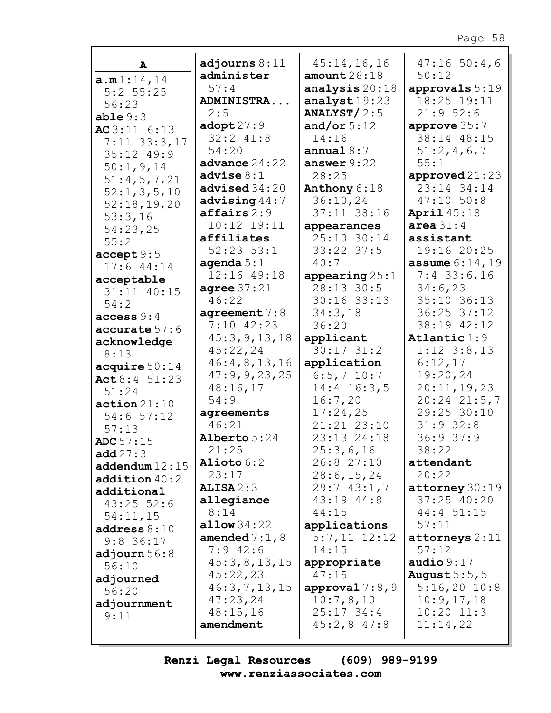|                  | adjourns $8:11$                 | 45:14,16,16                    | 47:1650:4,6              |
|------------------|---------------------------------|--------------------------------|--------------------------|
| A                | administer                      | amount26:18                    | 50:12                    |
| a.m1:14,14       | 57:4                            | analysis 20:18                 | approvals $5:19$         |
| $5:2$ 55:25      | ADMINISTRA                      | analyst $19:23$                | 18:25 19:11              |
| 56:23            | 2:5                             | ANALYST $/2:5$                 | 21:952:6                 |
| able $9:3$       | $\texttt{adopt27:9}$            | and/or $5:12$                  | approve $35:7$           |
| AC3:116:13       | $32:2$ $41:8$                   | 14:16                          | 38:14 48:15              |
| $7:11$ 33:3,17   | 54:20                           | annual $8:7$                   | 51:2,4,6,7               |
| 35:12 49:9       | advance $24:22$                 | answer $9:22$                  | 55:1                     |
| 50:1, 9, 14      | advise $8:1$                    | 28:25                          | approved $21:23$         |
| 51:4,5,7,21      | advised $34:20$                 | Anthony 6:18                   | 23:14 34:14              |
| 52:1, 3, 5, 10   | advising $44:7$                 | 36:10,24                       | $47:10$ 50:8             |
| 52:18,19,20      | $\texttt{affairs} 2:9$          | 37:11 38:16                    | <b>April</b> 45:18       |
| 53:3,16          | $10:12$ $19:11$                 |                                | area $31:4$              |
| 54:23,25         | affiliates                      | appearances<br>25:10 30:14     | assistant                |
| 55:2             | $52:23$ $53:1$                  | $33:22$ $37:5$                 | 19:16 20:25              |
| accept 9:5       |                                 | 40:7                           | <b>assume</b> $6:14,19$  |
| 17:644:14        | agenda $5:1$<br>12:16 49:18     |                                | $7:4$ 33:6,16            |
| acceptable       | agree $37:21$                   | appearing $25:1$<br>28:13 30:5 | 34:6,23                  |
| 31:11 40:15      | 46:22                           | $30:16$ 33:13                  | 35:10 36:13              |
| 54:2             |                                 | 34:3,18                        | 36:25 37:12              |
| access 9:4       | agreement $7:8$<br>$7:10$ 42:23 | 36:20                          | 38:19 42:12              |
| accurate 57:6    | 45:3, 9, 13, 18                 | applicant                      | $\texttt{Atlantic1:9}$   |
| acknowledge      | 45:22,24                        | $30:17$ $31:2$                 | $1:12$ $3:8,13$          |
| 8:13             | 46:4,8,13,16                    | application                    | 6:12,17                  |
| acquire $50:14$  | 47:9,9,23,25                    | $6:5, 7$ 10:7                  | 19:20,24                 |
| Act 8:4 51:23    | 48:16,17                        | $14:4$ 16:3,5                  | 20:11,19,23              |
| 51:24            | 54:9                            | 16:7,20                        | $20:24$ $21:5,7$         |
| action 21:10     | agreements                      | 17:24,25                       | 29:25 30:10              |
| $54:6$ $57:12$   | 46:21                           | 21:21 23:10                    | $31:9$ 32:8              |
| 57:13            | Alberto 5:24                    | 23:13 24:18                    | 36:937:9                 |
| <b>ADC</b> 57:15 | 21:25                           | 25:3,6,16                      | 38:22                    |
| add $27:3$       | Alioto 6:2                      | 26:8 27:10                     | attendant                |
| addendum 12:15   | 23:17                           | 28:6, 15, 24                   | 20:22                    |
| addition 40:2    | ALISA2:3                        | 29:743:1,7                     | $\texttt{attorney}30:19$ |
| additional       | allegiance                      | 43:19 44:8                     | $37:25$ 40:20            |
| $43:25$ 52:6     | 8:14                            | 44:15                          | 44:4 51:15               |
| 54:11,15         | allow $34:22$                   | applications                   | 57:11                    |
| address $8:10$   | amended $7:1$ , 8               | $5:7,11$ $12:12$               | attorneys 2:11           |
| $9:8$ 36:17      | $7:9$ 42:6                      | 14:15                          | 57:12                    |
| adjourn $56:8$   | 45:3,8,13,15                    | appropriate                    | audio $9:17$             |
| 56:10            | 45:22,23                        | 47:15                          | August $5:5$ , 5         |
| adjourned        | 46:3,7,13,15                    | approval $7:8,9$               | $5:16,20$ 10:8           |
| 56:20            | 47:23,24                        | 10:7,8,10                      | 10:9,17,18               |
| adjournment      | 48:15,16                        | $25:17$ 34:4                   | $10:20$ $11:3$           |
| 9:11             | amendment                       | $45:2,8$ $47:8$                | 11:14,22                 |
|                  |                                 |                                |                          |

Renzi Legal Resources  $(609)$  989-9199 www.renziassociates.com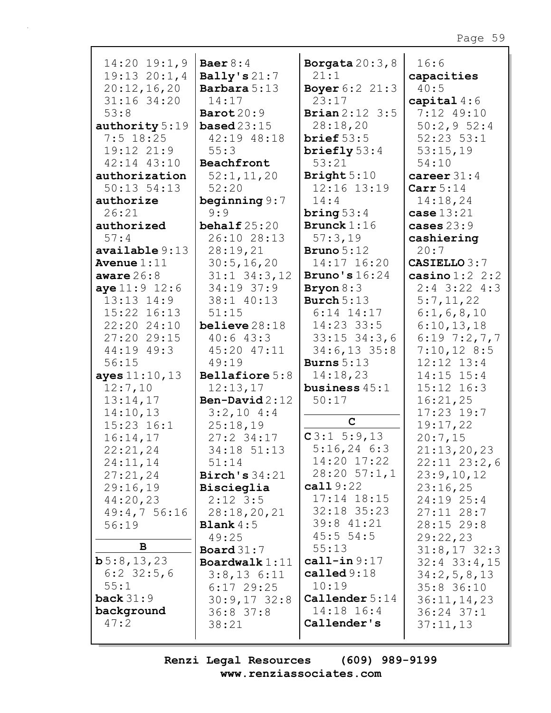#### Borgata  $20:3,8$  $14:20$   $19:1,9$ Baer  $8:4$  $16:6$ Bally's  $21:7$  $19:13$   $20:1,4$  $21:1$ capacities  $20:12,16,20$ **Barbara** 5:13 **Boyer 6:2 21:3**  $40:5$  $31:16$  34:20  $14:17$  $23:17$ capital  $4:6$  $53:8$ Barot  $20:9$ **Brian**  $2:12 \ 3:5$ 7:12 49:10  $28:18,20$ authority 5:19 **based**  $23:15$  $50:2,952:4$  $7:5$  18:25 42:19 48:18 brief  $53:5$  $52:23$   $53:1$  $19:12$   $21:9$  $53:15,19$  $55:3$ briefly  $53:4$  $42:14$   $43:10$  $54:10$ Beachfront  $53:21$ authorization  $52:1, 11, 20$ Bright  $5:10$ career  $31:4$  $50:13$   $54:13$  $52:20$ 12:16 13:19 Carr $5:14$ authorize beginning  $9:7$  $14:4$  $14:18,24$  $26:21$  $9:9$  $case 13:21$  $\frac{1}{2}$ authorized behalf  $25:20$ **Brunck**  $1:16$ cases  $23:9$  $57:4$ 26:10 28:13  $57:3,19$ cashiering  $available 9:13$  $28:19,21$ **Bruno**  $5:12$  $20:7$ **CASIELLO 3:7** Avenue  $1:11$  $30:5, 16, 20$ 14:17 16:20  $31:1$   $34:3$ , 12 Bruno's  $16:24$  $\verb|casino|1:2|2:2$ aware  $26:8$  $aye 11:9 12:6$  $34:19$  37:9  $2:4$  3:22 4:3 Bryon  $8:3$  $13:13$   $14:9$ 38:1 40:13 Burch  $5:13$  $5:7,11,22$ 15:22 16:13  $6:14$  14:17  $51:15$  $6:1, 6, 8, 10$  $22:20$   $24:10$  $believe 28:18$  $14:23$  33:5  $6:10,13,18$ 27:20 29:15  $40:643:3$  $33:15$   $34:3$ , 6  $6:19$  7:2, 7, 7  $7:10,12$  8:5  $44:19$   $49:3$ 45:20 47:11  $34:6,13$  35:8  $12:12$   $13:4$  $56:15$  $49:19$ **Burns**  $5:13$  $14:18,23$  $14:15$   $15:4$ ayes  $11:10, 13$ Bellafiore 5:8  $12:7,10$  $12:13,17$ business  $45:1$  $15:12$   $16:3$  $13:14,17$ Ben-David  $2:12$  $50:17$  $16:21,25$  $14:10,13$  $3:2,10$  4:4  $17:23$  19:7  $\mathbf C$  $15:23$   $16:1$  $25:18,19$  $19:17,22$  $C3:15:9,13$  $16:14,17$  $20:7,15$  $27:2$  34:17  $5:16,24$  6:3  $22:21,24$ 34:18 51:13  $21:13,20,23$ 14:20 17:22  $24:11,14$  $51:14$  $22:11$   $23:2.6$  $27:21,24$  $28:20 \ 57:1,1$ Birch's  $34:21$  $23:9,10,12$  $cal 119:22$  $29:16,19$ Biscieglia  $23:16,25$  $44:20,23$  $2:12$  3:5  $17:14$   $18:15$ 24:19 25:4  $32:18$   $35:23$ 49:4,7 56:16  $28:18, 20, 21$  $27:11$  28:7 39:8 41:21 **Blank** $4:5$  $28:15$  29:8  $56:19$  $45:5554:5$  $49:25$  $29:22,23$ В  $55:13$ Board  $31:7$  $31:8,17$  32:3  $\mathbf{b}5:8,13,23$  $cal1$ -in  $9:17$ Boardwalk $1:11$  $32:4$   $33:4$ , 15  $6:2$  32:5,6 called  $9:18$  $34:2,5,8,13$  $3:8,13$   $6:11$  $55:1$  $10:19$  $6:17$  29:25  $35:8$  36:10 back  $31:9$ Callender 5:14  $30:9,17$  32:8  $36:11, 14, 23$ background 14:18 16:4 36:8 37:8 36:24 37:1

 $(609)$  989-9199 Renzi Legal Resources www.renziassociates.com

 $38:21$ 

Callender's

 $37:11,13$ 

 $47:2$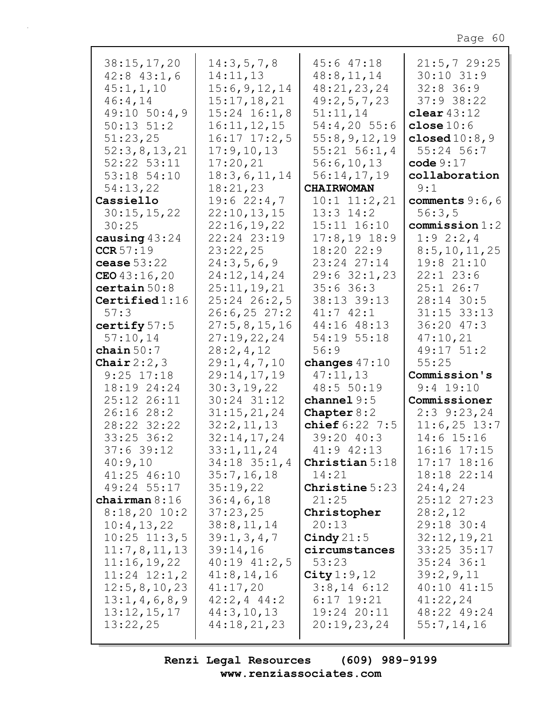| 38:15,17,20<br>$42:8$ $43:1,6$ | 14:3,5,7,8<br>14:11,13         | $45:6$ $47:18$<br>48:8,11,14   | 21:5,729:25<br>$30:10$ $31:9$  |
|--------------------------------|--------------------------------|--------------------------------|--------------------------------|
| 45:1, 1, 10                    | 15:6,9,12,14                   | 48:21,23,24                    | $32:8$ 36:9                    |
| 46:4,14                        | 15:17,18,21                    | 49:2,5,7,23                    | $37:9$ 38:22                   |
| $49:10$ 50:4,9                 | $15:24$ $16:1,8$               | 51:11,14                       | clear $43:12$                  |
| $50:13$ $51:2$                 | 16:11,12,15                    | $54:4,20$ 55:6                 | close $10:6$                   |
| 51:23,25                       | $16:17$ $17:2,5$               | 55:8, 9, 12, 19                | closed $10:8$ , $9$            |
| 52:3,8,13,21                   | 17:9, 10, 13                   | $55:21$ $56:1,4$               | 55:24 56:7                     |
| 52:22 53:11                    | 17:20,21                       | 56:6,10,13                     | code 9:17                      |
| 53:18 54:10                    | 18:3,6,11,14                   | 56:14,17,19                    | collaboration                  |
| 54:13,22                       | 18:21,23                       | <b>CHAIRWOMAN</b>              | 9:1                            |
| Cassiello                      | 19:622:4,7                     | $10:1$ $11:2,21$               | comments $9:6,6$               |
| 30:15,15,22                    | 22:10,13,15                    | $13:3$ $14:2$                  | 56:3,5                         |
| 30:25                          | 22:16,19,22                    | 15:11 16:10                    | commission 1:2                 |
| causing $43:24$                | 22:24 23:19                    | $17:8,19$ 18:9                 | $1:9$ 2:2,4                    |
| CCR 57:19                      | 23:22,25                       | 18:20 22:9                     | 8:5, 10, 11, 25                |
| cease $53:22$                  | 24:3,5,6,9                     | 23:24 27:14                    | 19:821:10                      |
| CEO $43:16,20$                 | 24:12,14,24                    | 29:632:1,23                    | $22:1$ $23:6$                  |
| certain $50:8$                 | 25:11, 19, 21                  | $35:6$ 36:3                    | $25:1$ 26:7                    |
| Certified $1:16$<br>57:3       | $25:24$ $26:2,5$               | 38:13 39:13<br>$41:7$ $42:1$   | 28:14 30:5<br>$31:15$ $33:13$  |
|                                | 26:6, 25 27:2                  | 44:16 48:13                    | $36:20$ 47:3                   |
| certify $57:5$<br>57:10,14     | 27:5,8,15,16<br>27:19,22,24    | 54:19 55:18                    | 47:10,21                       |
| chain $50:7$                   | 28:2,4,12                      | 56:9                           | 49:17 51:2                     |
|                                |                                |                                |                                |
|                                |                                |                                |                                |
| Chair $2:2,3$                  | 29:1, 4, 7, 10                 | changes $47:10$                | 55:25                          |
| $9:25$ 17:18                   | 29:14,17,19                    | 47:11,13                       | Commission's                   |
| 18:19 24:24                    | 30:3,19,22                     | 48:5 50:19                     | $9:4$ 19:10                    |
| 25:12 26:11                    | 30:24 31:12                    | channel $9:5$                  | Commissioner                   |
| 26:1628:2                      | 31:15,21,24                    | Chapter $8:2$                  | $2:3$ 9:23, 24                 |
| 28:22 32:22                    | 32:2,11,13                     | chief $6:22$ 7:5               | $11:6,25$ 13:7                 |
| $33:25$ 36:2                   | 32:14,17,24                    | 39:20 40:3                     | $14:6$ 15:16                   |
| 37:6 39:12<br>40:9,10          | 33:1,11,24<br>$34:18$ $35:1,4$ | 41:9 42:13<br>Christian $5:18$ | 16:16 17:15<br>$17:17$ $18:16$ |
| 41:25 46:10                    | 35:7, 16, 18                   | 14:21                          | 18:18 22:14                    |
| 49:24 55:17                    | 35:19,22                       | Christine 5:23                 | 24:4,24                        |
| chairman $8:16$                | 36:4,6,18                      | 21:25                          | 25:12 27:23                    |
| $8:18,20$ 10:2                 | 37:23,25                       | Christopher                    | 28:2,12                        |
| 10:4,13,22                     | 38:8,11,14                     | 20:13                          | 29:18 30:4                     |
| $10:25$ $11:3,5$               | 39:1, 3, 4, 7                  | Cindy $21:5$                   | 32:12,19,21                    |
| 11:7,8,11,13                   | 39:14,16                       | circumstances                  | 33:25 35:17                    |
| 11:16,19,22                    | $40:19$ $41:2,5$               | 53:23                          | $35:24$ 36:1                   |
| $11:24$ $12:1,2$               | 41:8, 14, 16                   | City $1:9,12$                  | 39:2,9,11                      |
| 12:5, 8, 10, 23                | 41:17,20                       | $3:8,14$ 6:12                  | $40:10$ $41:15$                |
| 13:1,4,6,8,9                   | $42:2, 4$ $44:2$               | $6:17$ 19:21                   | 41:22,24                       |
| 13:12,15,17                    | 44:3,10,13                     | 19:24 20:11                    | 48:22 49:24                    |
| 13:22,25                       | 44:18,21,23                    | 20:19,23,24                    | 55:7,14,16                     |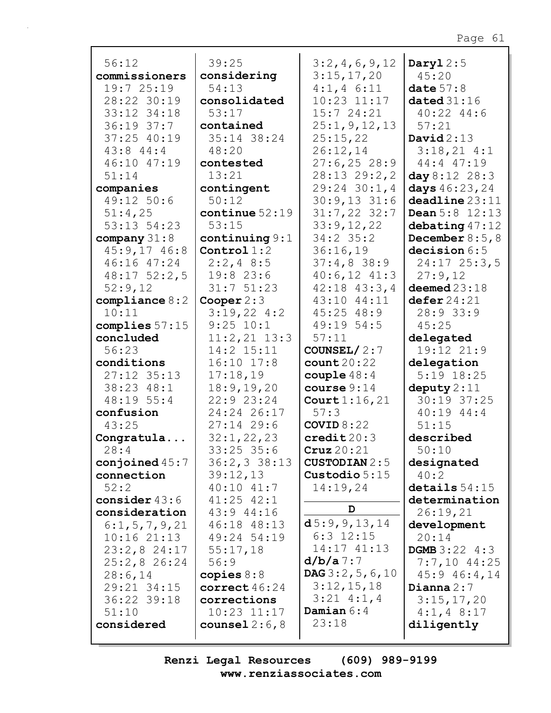| 56:12                          | 39:25                       | 3:2,4,6,9,12                          | Daryl $2:5$                  |
|--------------------------------|-----------------------------|---------------------------------------|------------------------------|
| commissioners                  | considering                 | 3:15,17,20                            | 45:20                        |
| 19:725:19                      | 54:13                       | $4:1, 4 \ 6:11$                       | date $57:8$                  |
| 28:22 30:19                    | consolidated                | $10:23$ $11:17$                       | dated $31:16$                |
| 33:12 34:18                    | 53:17                       | 15:724:21                             | $40:22$ $44:6$               |
| $36:19$ $37:7$                 | contained                   | 25:1, 9, 12, 13                       | 57:21                        |
| 37:25 40:19                    | 35:14 38:24                 | 25:15,22                              | David $2:13$                 |
| $43:8$ $44:4$                  | 48:20                       | 26:12,14                              | 3:18,214:1                   |
| 46:10 47:19                    | contested                   | $27:6, 25$ 28:9                       | 44:4 47:19                   |
| 51:14                          | 13:21                       | $28:13$ $29:2,2$                      | day 8:12 28:3                |
| companies                      | contingent                  | $29:24$ 30:1,4                        | days $46:23,24$              |
| 49:12 50:6                     | 50:12                       | $30:9,13$ 31:6                        | deadline 23:11               |
| 51:4,25                        | continue $52:19$            | $31:7,22$ 32:7                        | <b>Dean</b> $5:8$ $12:13$    |
| 53:13 54:23                    | 53:15                       | 33:9,12,22                            | debating $47:12$             |
| company $31:8$                 | continuing $9:1$            | $34:2$ 35:2                           | December $8:5,8$             |
| $45:9,17$ $46:8$               | Control $1:2$               | 36:16,19                              | decision 6:5                 |
| 46:16 47:24                    | $2:2,4$ 8:5                 | $37:4,8$ 38:9                         | $24:17$ $25:3,5$             |
| $48:17$ 52:2,5                 | 19:8 23:6                   | $40:6,12$ $41:3$                      | 27:9,12                      |
| 52:9,12                        | 31:751:23                   | $42:18$ $43:3,4$                      | deemed $23:18$               |
| $\texttt{compile} 8:2$         | Cooper $2:3$                | 43:10 44:11                           | defer 24:21                  |
| 10:11                          | $3:19,22$ 4:2               | $45:25$ $48:9$                        | 28:933:9                     |
| complies $57:15$               | 9:25 10:1                   | 49:19 54:5                            | 45:25                        |
| concluded                      | $11:2,21$ $13:3$            | 57:11                                 |                              |
| 56:23                          | 14:2 15:11                  |                                       | delegated<br>19:12 21:9      |
|                                | $16:10$ $17:8$              | COUNSEL/ $2:7$                        |                              |
| conditions                     |                             | count20:22                            | delegation<br>$5:19$ $18:25$ |
| $27:12$ 35:13                  | 17:18,19                    | couple $48:4$                         |                              |
| 38:23 48:1                     | 18:9, 19, 20                | course $9:14$                         | deputy $2:11$<br>30:19 37:25 |
| 48:19 55:4                     | 22:9 23:24                  | Court $1:16,21$                       |                              |
| confusion                      | 24:24 26:17<br>$27:14$ 29:6 | 57:3                                  | $40:19$ $44:4$               |
| 43:25                          |                             | COVID 8:22                            | 51:15                        |
| Congratula                     | 32:1,22,23                  | $\texttt{credit20:3}$                 | described                    |
| 28:4                           | 33:25 35:6                  | $Cruz$ 20:21                          | 50:10                        |
| conjoined $45:7$<br>connection | 36:2,333:13                 | <b>CUSTODIAN 2:5</b><br>Custodio 5:15 | designated<br>40:2           |
|                                | 39:12,13<br>$40:10$ $41:7$  |                                       |                              |
| 52:2                           | $41:25$ $42:1$              | 14:19,24                              | details $54:15$              |
| consider $43:6$                |                             | D                                     | determination                |
| consideration                  | 43:9 44:16                  | d5:9,9,13,14                          | 26:19,21                     |
| 6:1, 5, 7, 9, 21               | 46:18 48:13                 | $6:3$ 12:15                           | development<br>20:14         |
| $10:16$ $21:13$                | 49:24 54:19                 | $14:17$ $41:13$                       |                              |
| $23:2,8$ 24:17                 | 55:17,18                    | d/b/a7:7                              | <b>DGMB</b> 3:22 4:3         |
| 25:2,8 26:24                   | 56:9                        | DAG $3:2, 5, 6, 10$                   | $7:7,10$ 44:25               |
| 28:6,14<br>29:21 34:15         | copies $8:8$                | 3:12,15,18                            | $45:9$ $46:4$ , 14           |
|                                | correct $46:24$             | $3:21$ 4:1,4                          | Dianna $2:7$                 |
| 36:22 39:18                    | corrections                 | Damian $6:4$                          | 3:15,17,20                   |
| 51:10<br>considered            | $10:23$ $11:17$             | 23:18                                 | $4:1, 4$ 8:17<br>diligently  |
|                                | counsel $2:6,8$             |                                       |                              |
|                                |                             |                                       |                              |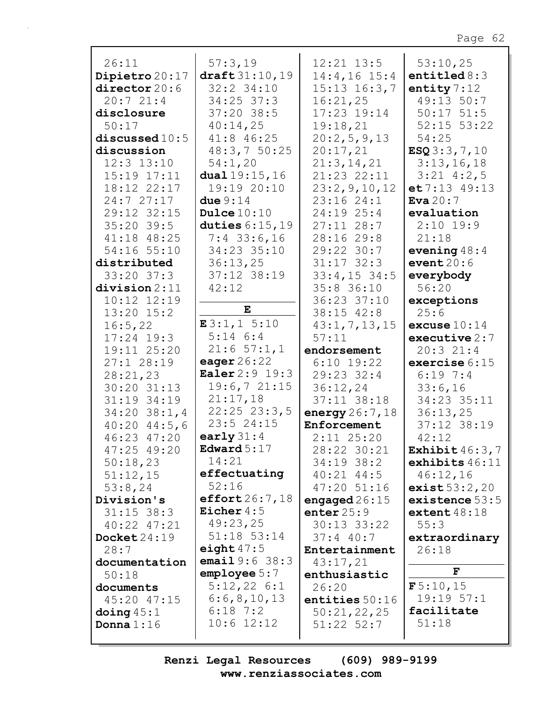| 26:11              | 57:3,19                                | $12:21$ $13:5$       | 53:10,25           |
|--------------------|----------------------------------------|----------------------|--------------------|
| Dipietro 20:17     | draff 31:10,19                         | 14:4,16 15:4         | entitled $8:3$     |
| director 20:6      | $32:2$ $34:10$                         | $15:13$ $16:3,7$     | entity $7:12$      |
| 20:721:4           | $34:25$ 37:3                           | 16:21,25             | 49:13 50:7         |
| disclosure         | $37:20$ 38:5                           | 17:23 19:14          | $50:17$ $51:5$     |
| 50:17              | 40:14,25                               | 19:18,21             | $52:15$ $53:22$    |
| discussed $10:5$   | 41:8 46:25                             | 20:2,5,9,13          | 54:25              |
| discussion         | 48:3,750:25                            | 20:17,21             | ESQ3:3,7,10        |
| $12:3$ $13:10$     | 54:1,20                                | 21:3, 14, 21         | 3:13,16,18         |
| 15:19 17:11        | dual $19:15,16$                        | 21:23 22:11          | $3:21$ 4:2,5       |
| 18:12 22:17        | 19:19 20:10                            | 23:2, 9, 10, 12      | et 7:13 49:13      |
| 24:7 27:17         | due $9:14$                             | 23:16 24:1           | Eva $20:7$         |
| 29:12 32:15        | Dulce $10:10$                          | 24:19 25:4           | evaluation         |
| $35:20$ 39:5       | duties $6:15,19$                       | $27:11$ $28:7$       | $2:10$ 19:9        |
| 41:18 48:25        | $7:4$ 33:6,16                          | 28:16 29:8           | 21:18              |
| 54:16 55:10        | 34:23 35:10                            | 29:22 30:7           | evening $48:4$     |
| distributed        | 36:13,25                               | $31:17$ $32:3$       | event $20:6$       |
| $33:20$ $37:3$     | 37:12 38:19                            | $33:4,15$ 34:5       | everybody          |
| division 2:11      | 42:12                                  | 35:8 36:10           | 56:20              |
| $10:12$ $12:19$    |                                        | 36:23 37:10          |                    |
| $13:20$ $15:2$     | E                                      | 38:15 42:8           | exceptions<br>25:6 |
| 16:5,22            | E3:1,15:10                             |                      |                    |
|                    | $5:14$ $6:4$                           | 43:1, 7, 13, 15      | excuse $10:14$     |
| $17:24$ 19:3       | 21:657:1,1                             | 57:11                | executive $2:7$    |
| 19:11 25:20        |                                        | endorsement          | 20:321:4           |
| 27:128:19          | eager $26:22$<br><b>Ealer</b> 2:9 19:3 | $6:10$ 19:22         | exercise 6:15      |
| 28:21,23           |                                        | 29:23 32:4           | $6:19$ 7:4         |
| 30:20 31:13        | 19:6,721:15                            | 36:12,24             | 33:6,16            |
| 31:19 34:19        | 21:17,18                               | 37:11 38:18          | 34:23 35:11        |
| $34:20$ $38:1,4$   | $22:25$ $23:3,5$                       | energy $26:7$ , $18$ | 36:13,25           |
| $40:20$ $44:5$ , 6 | 23:524:15                              | Enforcement          | 37:12 38:19        |
| 46:23 47:20        | early $31:4$                           | $2:11$ $25:20$       | 42:12              |
| 47:25 49:20        | Edward $5:17$                          | 28:22 30:21          | Exhibit $46:3.7$   |
| 50:18,23           | 14:21                                  | 34:19 38:2           | exhibits $46:11$   |
| 51:12,15           | effectuating                           | $40:21$ $44:5$       | 46:12,16           |
| 53:8,24            | 52:16                                  | 47:20 51:16          | exist 53:2,20      |
| Division's         | effort $26:7$ , $18$                   | engaged $26:15$      | existence $53:5$   |
| $31:15$ 38:3       | Eicher $4:5$                           | enter $25:9$         | extent $48:18$     |
| 40:22 47:21        | 49:23,25                               | 30:13 33:22          | 55:3               |
| Docket 24:19       | 51:18 53:14                            | $37:4$ 40:7          | extraordinary      |
| 28:7               | eight $47:5$                           | Entertainment        | 26:18              |
| documentation      | <b>email</b> $9:6$ $38:3$              | 43:17,21             |                    |
| 50:18              | emplope 5:7                            | enthusiastic         | ${\bf F}$          |
| documents          | 5:12,226:1                             | 26:20                | F5:10,15           |
| 45:20 47:15        | 6:6,8,10,13                            | entities $50:16$     | 19:19.57:1         |
| doing $45:1$       | $6:18$ 7:2                             | 50:21,22,25          | facilitate         |
| Donna $1:16$       | $10:6$ 12:12                           | $51:22$ $52:7$       | 51:18              |
|                    |                                        |                      |                    |

Renzi Legal Resources  $(609)$  989-9199 www.renziassociates.com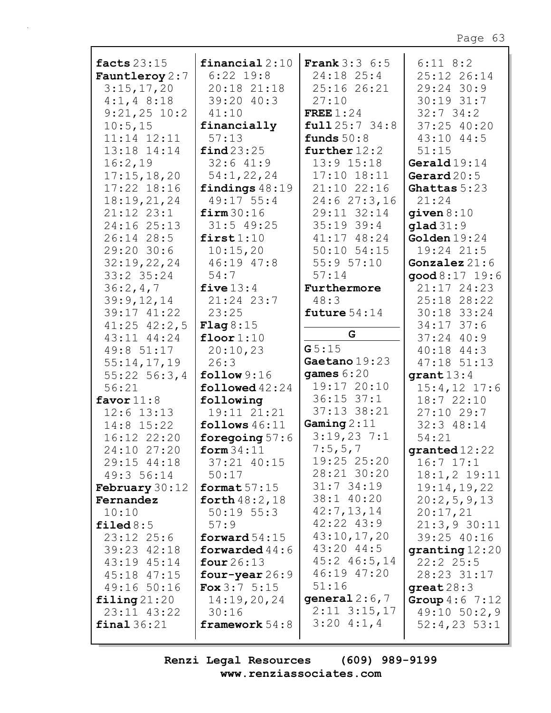| facts $23:15$            | financial $2:10$          | <b>Frank</b> $3:3$ 6:5 | $6:11$ $8:2$                 |
|--------------------------|---------------------------|------------------------|------------------------------|
| Fauntleroy $2:7$         | $6:22$ 19:8               | $24:18$ $25:4$         | 25:12 26:14                  |
| 3:15,17,20               | 20:18 21:18               | 25:16 26:21            | 29:24 30:9                   |
| $4:1, 4$ 8:18            | 39:20 40:3                | 27:10                  | 30:19 31:7                   |
| $9:21,25$ 10:2           | 41:10                     | FREE $1:24$            | $32:7$ 34:2                  |
|                          |                           |                        |                              |
| 10:5, 15                 | financially               | full 25:7 34:8         | 37:25 40:20                  |
| 11:14 12:11              | 57:13                     | funds $50:8$           | $43:10$ $44:5$               |
| 13:18 14:14              | find 23:25                | further $12:2$         | 51:15                        |
| 16:2,19                  | 32:641:9                  | $13:9$ $15:18$         | Gerald $19:14$               |
| 17:15, 18, 20            | 54:1,22,24                | 17:10 18:11            | Gerard $20:5$                |
| $17:22$ $18:16$          | findings $48:19$          | 21:10 22:16            | Ghattas 5:23                 |
|                          | 49:17 55:4                | 24:627:3,16            | 21:24                        |
| 18:19,21,24              |                           |                        |                              |
| 21:12 23:1               | firm 30:16                | 29:11 32:14            | given $8:10$                 |
| 24:16 25:13              | $31:5$ 49:25              | $35:19$ 39:4           | $g$ lad $31:9$               |
| 26:14 28:5               | first1:10                 | 41:17 48:24            | Golden $19:24$               |
| 29:20 30:6               | 10:15,20                  | $50:10$ $54:15$        | $19:24$ $21:5$               |
| 32:19,22,24              | 46:19 47:8                | 55:957:10              | Gonzalez $21:6$              |
| 33:2 35:24               | 54:7                      | 57:14                  | good 8:17 19:6               |
| 36:2,4,7                 | five $13:4$               | Furthermore            | 21:17 24:23                  |
| 39:9,12,14               | 21:24 23:7                | 48:3                   | 25:18 28:22                  |
|                          |                           |                        |                              |
| 39:17 41:22              | 23:25                     | future $54:14$         | 30:18 33:24                  |
| $41:25$ $42:2,5$         | <b>Flag</b> $8:15$        |                        | $34:17$ 37:6                 |
| 43:11 44:24              | floor $1:10$              | G                      | $37:24$ 40:9                 |
| 49:8 51:17               | 20:10,23                  | G5:15                  | 40:18 44:3                   |
| 55:14,17,19              | 26:3                      | Gaetano 19:23          | 47:18 51:13                  |
| $55:22$ 56:3,4           | follow 9:16               | games $6:20$           | $grant 13:4$                 |
| 56:21                    | $\texttt{followed} 42:24$ | 19:17 20:10            | $15:4, 12$ 17:6              |
| favor $11:8$             | following                 | $36:15$ $37:1$         | 18:7 22:10                   |
| $12:6$ $13:13$           | 19:11 21:21               | $37:13$ $38:21$        | $27:10$ 29:7                 |
| 14:8 15:22               | follows $46:11$           | Gaming $2:11$          | 32:3 48:14                   |
|                          |                           | 3:19,237:1             | 54:21                        |
| 16:12 22:20              | foregoing $57:6$          |                        |                              |
| 24:10 27:20              | form $34:11$              | 7:5,5,7                | $\boldsymbol{granted}$ 12:22 |
| 29:15 44:18              | 37:21 40:15               | 19:25 25:20            | $16:7$ $17:1$                |
| 49:3 56:14               | 50:17                     | 28:21 30:20            | $18:1, 2$ 19:11              |
| <b>February</b> 30:12    | format $57:15$            | $31:7$ 34:19           | 19:14,19,22                  |
| Fernandez                | forth $48:2,18$           | 38:1 40:20             | 20:2,5,9,13                  |
| 10:10                    | $50:19$ $55:3$            | 42:7,13,14             | 20:17,21                     |
| filed $8:5$              | 57:9                      | $42:22$ $43:9$         | 21:3,930:11                  |
| $23:12$ $25:6$           | forward $54:15$           | 43:10,17,20            | 39:25 40:16                  |
| 39:23 42:18              | forwarded $44:6$          | 43:20 44:5             | granting 12:20               |
|                          |                           | $45:2$ $46:5,14$       |                              |
| 43:19 45:14              | four $26:13$              | 46:19 47:20            | 22:225:5                     |
| 45:18 47:15              | four-year $26:9$          |                        | 28:23 31:17                  |
| 49:16 50:16              | <b>Fox</b> $3:7 \ 5:15$   | 51:16                  | great $28:3$                 |
| $\texttt{filling}$ 21:20 | 14:19,20,24               | general $2:6,7$        | <b>Group</b> $4:6$ 7:12      |
| 23:11 43:22              | 30:16                     | $2:11$ $3:15,17$       | $49:10$ 50:2,9               |
| final 36:21              | framework $54:8$          | 3:204:1,4              | $52:4,23$ $53:1$             |
|                          |                           |                        |                              |

Renzi Legal Resources  $(609)$  989-9199 www.renziassociates.com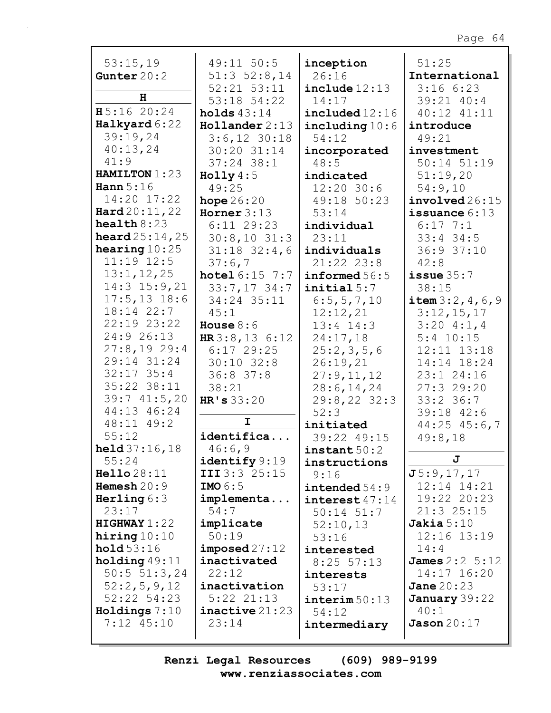| 53:15,19                | 49:11 50:5                | inception                 | 51:25                     |
|-------------------------|---------------------------|---------------------------|---------------------------|
| Gunter $20:2$           | $51:3$ $52:8,14$          | 26:16                     | International             |
|                         | 52:21 53:11               | include 12:13             | 3:166:23                  |
| н                       | 53:18 54:22               | 14:17                     | 39:21 40:4                |
| H5:16 20:24             | holds $43:14$             | $\texttt{included} 12:16$ | 40:12 41:11               |
| Halkyard 6:22           | $H$ ollander 2:13         | including $10:6$          | introduce                 |
| 39:19,24                | $3:6,12$ 30:18            | 54:12                     | 49:21                     |
| 40:13,24                | 30:20 31:14               | incorporated              | investment                |
| 41:9                    | $37:24$ 38:1              | 48:5                      | $50:14$ $51:19$           |
| HAMILTON 1:23           | Holly $4:5$               | indicated                 | 51:19,20                  |
| Hann $5:16$             | 49:25                     | $12:20$ 30:6              | 54:9,10                   |
| 14:20 17:22             | hope $26:20$              | 49:18 50:23               | involved26:15             |
| $\texttt{Hard20:11,22}$ | Horner $3:13$             | 53:14                     | issuance $6:13$           |
| $\texttt{health}8:23$   | $6:11$ 29:23              | individual                | $6:17$ 7:1                |
| <b>heard</b> $25:14,25$ | $30:8,10$ 31:3            | 23:11                     | $33:4$ 34:5               |
| hearing $10:25$         | $31:18$ $32:4$ , 6        | individuals               | 36:9 37:10                |
| $11:19$ $12:5$          | 37:6,7                    | $21:22$ $23:8$            | 42:8                      |
| 13:1, 12, 25            | <b>hotel</b> $6:15$ $7:7$ | informed 56:5             | issue $35:7$              |
| $14:3$ $15:9,21$        | $33:7,17$ 34:7            | initial 5:7               | 38:15                     |
| $17:5, 13$ 18:6         | 34:24 35:11               | 6:5, 5, 7, 10             | item 3:2, 4, 6, 9         |
| 18:14 22:7              | 45:1                      | 12:12,21                  | 3:12,15,17                |
| 22:19 23:22             | House $8:6$               | $13:4$ $14:3$             | 3:204:1,4                 |
| 24:9 26:13              | HR3:8,136:12              | 24:17,18                  | $5:4$ 10:15               |
| 27:8,1929:4             | $6:17$ 29:25              | 25:2,3,5,6                | 12:11 13:18               |
| 29:14 31:24             | $30:10$ $32:8$            | 26:19,21                  | 14:14 18:24               |
| $32:17$ $35:4$          | 36:837:8                  | 27:9,11,12                | 23:1 24:16                |
| 35:22 38:11             | 38:21                     | 28:6, 14, 24              | 27:329:20                 |
| 39:741:5,20             | HR's 33:20                | $29:8, 22$ 32:3           | $33:2$ 36:7               |
| 44:13 46:24             |                           | 52:3                      | 39:18 42:6                |
| $48:11$ $49:2$          | I                         | initiated                 | $44:25$ $45:6,7$          |
| 55:12                   | identifica                | 39:22 49:15               | 49:8,18                   |
| <b>held</b> $37:16,18$  | 46:6,9                    | $\texttt{instant} 50:2$   |                           |
| 55:24                   | identify 9:19             | instructions              | J                         |
| Hello 28:11             | III 3:3 25:15             | 9:16                      | J5:9,17,17                |
| Hemesh $20:9$           | IMO $6:5$                 | intended 54:9             | 12:14 14:21               |
| Herling $6:3$           | implementa                | $\texttt{interest}47:14$  | 19:22 20:23               |
| 23:17                   | 54:7                      | $50:14$ $51:7$            | $21:3$ $25:15$            |
| HIGHWAY1:22             | implicate                 | 52:10,13                  | Jakia $5:10$              |
| hiring $10:10$          | 50:19                     | 53:16                     | 12:16 13:19               |
| hold 53:16              | imposed27:12              | interested                | 14:4                      |
| holding 49:11           | inactivated               | $8:25$ 57:13              | <b>James</b> $2:2 \ 5:12$ |
| $50:5$ $51:3,24$        | 22:12                     | interests                 | 14:17 16:20               |
| 52:2,5,9,12             | inactivation              | 53:17                     | Jane $20:23$              |
| $52:22$ $54:23$         | $5:22$ $21:13$            | $\texttt{interim} 50:13$  | January $39:22$           |
| Holdings 7:10           | inactive 21:23            | 54:12                     | 40:1                      |
| $7:12$ $45:10$          | 23:14                     | intermediary              | Jason 20:17               |
|                         |                           |                           |                           |

Renzi Legal Resources (609) 989-9199 www.renziassociates.com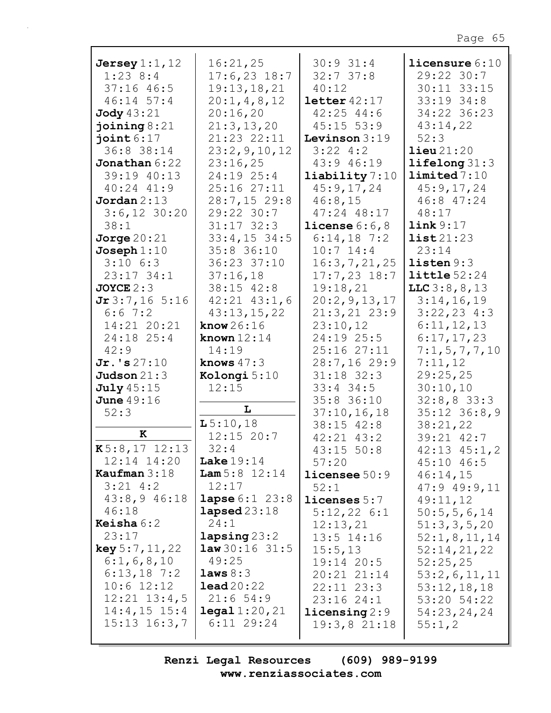| Jersey $1:1$ , $12$ | 16:21,25                  | $30:9$ 31:4             | licensure $6:10$      |
|---------------------|---------------------------|-------------------------|-----------------------|
| $1:23$ 8:4          | $17:6, 23$ 18:7           | 32:737:8                | 29:22 30:7            |
| $37:16$ 46:5        | 19:13,18,21               |                         | 30:11 33:15           |
|                     |                           | 40:12                   |                       |
| $46:14$ 57:4        | 20:1, 4, 8, 12            | $\text{letter }42:17$   | 33:19 34:8            |
| <b>Jody</b> 43:21   | 20:16,20                  | $42:25$ $44:6$          | 34:22 36:23           |
| joining $8:21$      | 21:3,13,20                | $45:15$ 53:9            | 43:14,22              |
| joint $6:17$        | 21:23 22:11               | Levinson $3:19$         | 52:3                  |
| 36:8 38:14          | 23:2, 9, 10, 12           | $3:22$ 4:2              | $\text{lieu}\,21:20$  |
| Jonathan 6:22       | 23:16,25                  | 43:9 46:19              | lifelong 31:3         |
| 39:19 40:13         | 24:19 25:4                | $\text{liability} 7:10$ | limited 7:10          |
| 40:24 41:9          | 25:16 27:11               | 45:9,17,24              | 45:9,17,24            |
| Jordan 2:13         | 28:7,15 29:8              | 46:8,15                 | 46:8 47:24            |
| $3:6,12$ 30:20      | 29:22 30:7                | 47:24 48:17             | 48:17                 |
| 38:1                | $31:17$ $32:3$            | license $6:6,8$         | link 9:17             |
| Jorge $20:21$       | $33:4,15$ 34:5            | $6:14,18$ 7:2           | list21:23             |
| Joseph $1:10$       | 35:8 36:10                | $10:7$ 14:4             | 23:14                 |
| $3:10$ $6:3$        | 36:23 37:10               | 16:3,7,21,25            | listen 9:3            |
| $23:17$ 34:1        | 37:16,18                  | $17:7,23$ 18:7          | $\text{little }52:24$ |
| JOYCE 2:3           | 38:15 42:8                | 19:18,21                | LLC3:8,8,13           |
| Jr3:7,165:16        | $42:21$ $43:1$ , 6        | 20:2, 9, 13, 17         | 3:14,16,19            |
| 6:67:2              | 43:13,15,22               | $21:3,21$ $23:9$        | $3:22,23$ 4:3         |
| 14:21 20:21         | know $26:16$              | 23:10,12                | 6:11,12,13            |
| 24:18 25:4          | known $12:14$             | 24:19 25:5              | 6:17,17,23            |
| 42:9                | 14:19                     | 25:1627:11              | 7:1, 5, 7, 7, 10      |
| $Jr.$ 's $27:10$    | knows $47:3$              | 28:7,1629:9             | 7:11,12               |
| Judson $21:3$       | Kolongi 5:10              | $31:18$ 32:3            | 29:25,25              |
| <b>July</b> 45:15   | 12:15                     | $33:4$ $34:5$           | 30:10,10              |
| <b>June</b> 49:16   |                           | 35:8 36:10              | 32:8,833:3            |
| 52:3                | L                         | 37:10, 16, 18           | $35:12$ $36:8,9$      |
|                     | L5:10,18                  | $38:15$ $42:8$          | 38:21,22              |
| $\mathbf K$         | $12:15$ 20:7              | $42:21$ $43:2$          | 39:21 42:7            |
| $K5:8,17$ 12:13     | 32:4                      | $43:15$ 50:8            | $42:13$ $45:1,2$      |
| 12:14 14:20         | Lake $19:14$              | 57:20                   |                       |
| Kaufman $3:18$      | <b>Lam</b> $5:8$ 12:14    | $l$ icensee $50:9$      | $45:10$ $46:5$        |
| $3:21$ 4:2          | 12:17                     |                         | 46:14,15              |
| $43:8,9$ $46:18$    | <b>lapse</b> $6:1$ $23:8$ | 52:1                    | $47:9$ $49:9$ , 11    |
| 46:18               | $\texttt{lapsed}23:18$    | $l$ icenses $5:7$       | 49:11,12              |
| <b>Keisha</b> $6:2$ | 24:1                      | 5:12,226:1              | 50:5, 5, 6, 14        |
|                     |                           | 12:13,21                | 51:3,3,5,20           |
| 23:17               | $\texttt{langsing} 23:2$  | $13:5$ $14:16$          | 52:1,8,11,14          |
| key 5:7,11,22       | law30:1631:5              | 15:5,13                 | 52:14,21,22           |
| 6:1, 6, 8, 10       | 49:25                     | $19:14$ 20:5            | 52:25,25              |
| $6:13,18$ 7:2       | laws 8:3                  | $20:21$ $21:14$         | 53:2,6,11,11          |
| $10:6$ 12:12        | $\texttt{lead20:22}$      | $22:11$ $23:3$          | 53:12,18,18           |
| $12:21$ $13:4,5$    | 21:654:9                  | 23:1624:1               | 53:20 54:22           |
| $14:4,15$ 15:4      | $\texttt{legal} 1:20,21$  | licensing 2:9           | 54:23,24,24           |
| $15:13$ $16:3,7$    | $6:11$ 29:24              | 19:3,821:18             | 55:1,2                |
|                     |                           |                         |                       |

Renzi Legal Resources (609) 989-9199 www.renziassociates.com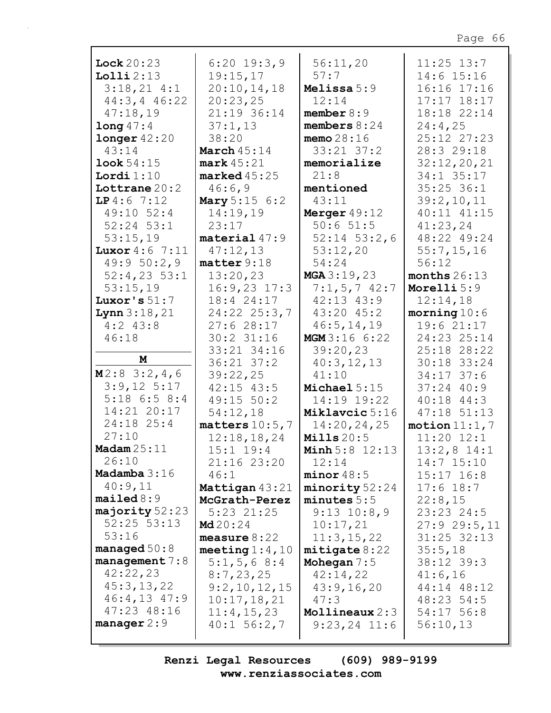| Lock 20:23              | $6:20$ 19:3,9           | 56:11,20              | $11:25$ $13:7$  |
|-------------------------|-------------------------|-----------------------|-----------------|
| Lolliz:13               | 19:15,17                | 57:7                  | 14:6 15:16      |
| 3:18,214:1              | 20:10,14,18             | Melissa 5:9           | 16:16 17:16     |
| 44:3, 446:22            | 20:23,25                | 12:14                 | $17:17$ $18:17$ |
| 47:18,19                | 21:19 36:14             | member $8:9$          | 18:18 22:14     |
| $long\,47:4$            | 37:1,13                 | members $8:24$        | 24:4,25         |
| longer 42:20            | 38:20                   | memo $28:16$          | 25:12 27:23     |
| 43:14                   | March $45:14$           | $33:21$ $37:2$        | 28:3 29:18      |
| <b>look</b> $54:15$     | $mark$ 45:21            | memorialize           | 32:12,20,21     |
| Lordi $1:10$            | $\texttt{marked}$ 45:25 | 21:8                  | 34:1 35:17      |
| Lottrane $20:2$         | 46:6,9                  | mentioned             | $35:25$ 36:1    |
| LP4:67:12               | Mary 5:15 6:2           | 43:11                 | 39:2,10,11      |
| 49:10 52:4              | 14:19,19                | Merger $49:12$        | 40:11 41:15     |
| $52:24$ $53:1$          | 23:17                   | 50:651:5              | 41:23,24        |
| 53:15,19                | material 47:9           | $52:14$ $53:2$ , 6    | 48:22 49:24     |
| <b>Luxor</b> $4:6$ 7:11 | 47:12,13                | 53:12,20              | 55:7,15,16      |
| 49:950:2,9              | matter 9:18             | 54:24                 | 56:12           |
| $52:4,23$ 53:1          | 13:20,23                | MGA3:19,23            | months $26:13$  |
| 53:15,19                | $16:9,23$ 17:3          | $7:1, 5, 7$ 42:7      | Morelli 5:9     |
| Luxor's $51:7$          | 18:4 24:17              | $42:13$ $43:9$        | 12:14,18        |
| <b>Lynn</b> $3:18,21$   | $24:22$ $25:3,7$        | $43:20$ $45:2$        | $morning 10:6$  |
| $4:2$ 43:8              | 27:6 28:17              | 46:5, 14, 19          | 19:6 21:17      |
| 46:18                   | $30:2$ 31:16            | <b>MGM</b> 3:16 6:22  | 24:23 25:14     |
|                         | 33:21 34:16             | 39:20,23              | 25:18 28:22     |
| M                       | $36:21$ $37:2$          | 40:3,12,13            | 30:18 33:24     |
| M2:83:2,4,6             | 39:22,25                | 41:10                 | $34:17$ 37:6    |
| $3:9,12$ 5:17           | $42:15$ $43:5$          | Michael $5:15$        | $37:24$ 40:9    |
| $5:18$ 6:5 8:4          | 49:15 50:2              | 14:19 19:22           | $40:18$ $44:3$  |
| 14:21 20:17             | 54:12,18                | Miklavcic 5:16        | $47:18$ $51:13$ |
| 24:18 25:4              | matters $10:5,7$        | 14:20,24,25           | motion $11:1,7$ |
| 27:10                   | 12:18,18,24             | $Mills$ $20:5$        | $11:20$ $12:1$  |
| Madam $25:11$           | $15:1$ $19:4$           | <b>Minh</b> 5:8 12:13 | $13:2,8$ 14:1   |
| 26:10                   | 21:16 23:20             | 12:14                 | $14:7$ $15:10$  |
| Madamba $3:16$          | 46:1                    | minor 48:5            | $15:17$ $16:8$  |
| 40:9,11                 | Mattigan 43:21          | minority 52:24        | $17:6$ 18:7     |
| mailed 8:9              | McGrath-Perez           | minutes 5:5           | 22:8,15         |
| majority 52:23          | $5:23$ $21:25$          | $9:13$ $10:8,9$       | 23:23 24:5      |
| $52:25$ $53:13$         | Md20:24                 | 10:17,21              | 27:929:5,11     |
| 53:16                   | measure $8:22$          | 11:3,15,22            | $31:25$ $32:13$ |
| managed $50:8$          | meeting $1:4$ , $10$    | mitigate 8:22         | 35:5,18         |
| management $7:8$        | $5:1, 5, 6$ 8:4         | Mohegan $7:5$         | 38:12 39:3      |
| 42:22,23                | 8:7,23,25               | 42:14,22              | 41:6,16         |
| 45:3,13,22              | 9:2,10,12,15            | 43:9,16,20            | 44:14 48:12     |
| $46:4,13$ $47:9$        | 10:17,18,21             | 47:3                  | 48:23 54:5      |
| 47:23 48:16             | 11:4, 15, 23            | Mollineaux $2:3$      | $54:17$ 56:8    |
| manager $2:9$           | $40:1$ 56:2,7           | $9:23,24$ 11:6        | 56:10,13        |
|                         |                         |                       |                 |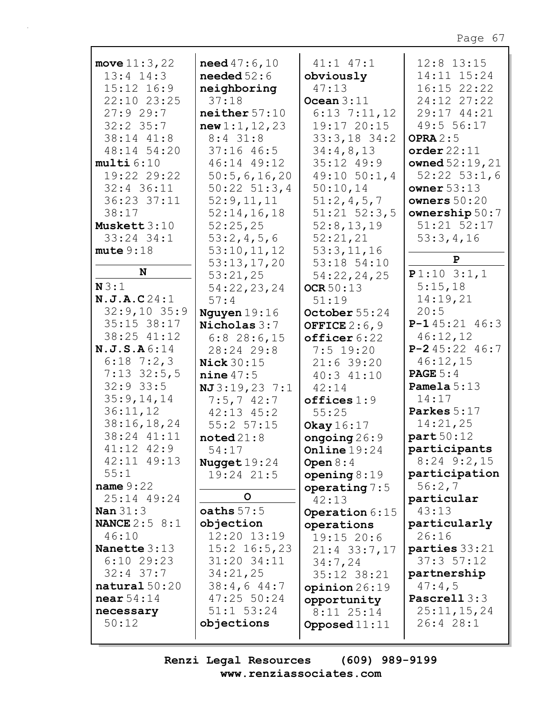| move $11:3,22$         | <b>need</b> $47:6,10$ | $41:1$ $47:1$    | $12:8$ $13:15$    |
|------------------------|-----------------------|------------------|-------------------|
| $13:4$ $14:3$          | needed $52:6$         | obviously        | 14:11 15:24       |
| 15:12 16:9             | neighboring           | 47:13            | 16:15 22:22       |
| 22:10 23:25            | 37:18                 | Ocean $3:11$     | 24:12 27:22       |
| 27:929:7               | neither 57:10         | $6:13$ $7:11,12$ | 29:17 44:21       |
| $32:2$ 35:7            |                       |                  | 49:5 56:17        |
|                        | new1:1,12,23          | 19:17 20:15      |                   |
| 38:14 41:8             | $8:4$ 31:8            | $33:3,18$ 34:2   | OPRA $2:5$        |
| 48:14 54:20            | $37:16$ 46:5          | 34:4,8,13        | order 22:11       |
| multi6:10              | 46:14 49:12           | 35:12 49:9       | owned $52:19,21$  |
| 19:22 29:22            | 50:5,6,16,20          | $49:10$ $50:1,4$ | $52:22$ $53:1,6$  |
| 32:4 36:11             | $50:22$ $51:3,4$      | 50:10,14         | owner $53:13$     |
| 36:23 37:11            | 52:9,11,11            | 51:2,4,5,7       | owners $50:20$    |
| 38:17                  | 52:14,16,18           | $51:21$ $52:3,5$ | ownership $50:7$  |
| Muskett 3:10           | 52:25,25              | 52:8,13,19       | 51:21 52:17       |
| $33:24$ $34:1$         | 53:2,4,5,6            | 52:21,21         | 53:3,4,16         |
| mute 9:18              | 53:10, 11, 12         | 53:3,11,16       |                   |
|                        | 53:13,17,20           | 53:18 54:10      | $\mathbf{P}$      |
| N                      | 53:21,25              | 54:22,24,25      | P1:103:1,1        |
| N3:1                   | 54:22,23,24           | OCR 50:13        | 5:15,18           |
| N.J.A.C24:1            | 57:4                  | 51:19            | 14:19,21          |
| $32:9,10$ 35:9         | Nguyen $19:16$        | October 55:24    | 20:5              |
| $35:15$ $38:17$        | Nicholas 3:7          | OFFICE $2:6,9$   | $P-145:2146:3$    |
| 38:25 41:12            | $6:8$ 28:6,15         | officer 6:22     | 46:12,12          |
| N.J.S.A6:14            | 28:24 29:8            | $7:5$ 19:20      | $P-245:2246:7$    |
| $6:18$ 7:2,3           | Nick $30:15$          | $21:6$ 39:20     | 46:12,15          |
| $7:13$ 32:5,5          | nine 47:5             | $40:3$ $41:10$   | <b>PAGE</b> $5:4$ |
| $32:9$ 33:5            | NJ 3:19, 23 7:1       | 42:14            | Pamela $5:13$     |
| 35:9,14,14             | $7:5,7$ 42:7          | offices 1:9      | 14:17             |
| 36:11,12               | $42:13$ $45:2$        | 55:25            | Parkes 5:17       |
| 38:16, 18, 24          | $55:2$ $57:15$        | Okay 16:17       | 14:21,25          |
| 38:24 41:11            | $\texttt{noted21:8}$  | ongoing $26:9$   | part 50:12        |
| $41:12$ $42:9$         | 54:17                 | Online $19:24$   | participants      |
| 42:11 49:13            | Nugget $19:24$        | Open $8:4$       | $8:24$ $9:2$ , 15 |
| 55:1                   | 19:24 21:5            | opening $8:19$   | participation     |
| name $9:22$            |                       | operating $7:5$  | 56:2,7            |
| 25:14 49:24            | O                     | 42:13            | particular        |
| Nan $31:3$             | oaths $57:5$          | Operation 6:15   | 43:13             |
| <b>NANCE</b> $2:5$ 8:1 | objection             | operations       | particularly      |
| 46:10                  | 12:20 13:19           | 19:15 20:6       | 26:16             |
| Nanette 3:13           | $15:2$ 16:5,23        | $21:4$ 33:7,17   | parties 33:21     |
| $6:10$ 29:23           | 31:20 34:11           | 34:7,24          | 37:357:12         |
| $32:4$ 37:7            | 34:21,25              | 35:12 38:21      | partnership       |
| natural $50:20$        | 38:4,644:7            | opinion 26:19    | 47:4,5            |
| near $54:14$           | 47:25 50:24           | opportunity      | Pascrell 3:3      |
| necessary              | $51:1$ $53:24$        | $8:11$ 25:14     | 25:11,15,24       |
| 50:12                  | objections            | Opposed $11:11$  | 26:4 28:1         |
|                        |                       |                  |                   |

Renzi Legal Resources  $(609)$  989-9199 www.renziassociates.com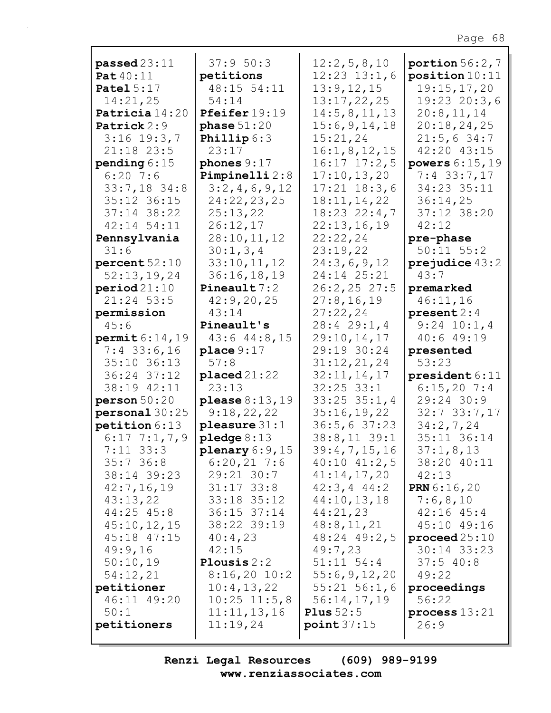| passed23:11               | 37:950:3                | 12:2,5,8,10                | portion $56:2,7$                 |
|---------------------------|-------------------------|----------------------------|----------------------------------|
| <b>Pat</b> 40:11          | petitions               | $12:23$ $13:1,6$           | position10:11                    |
| Patel $5:17$              | 48:15 54:11             | 13:9,12,15                 | 19:15,17,20                      |
| 14:21,25                  | 54:14                   | 13:17,22,25                | $19:23$ 20:3,6                   |
| Patricia 14:20            | Pfeifer 19:19           | 14:5,8,11,13               | 20:8,11,14                       |
| Patrick 2:9               | phase 51:20             | 15:6,9,14,18               | 20:18,24,25                      |
| $3:16$ 19:3,7             | <b>Phillip</b> $6:3$    | 15:21,24                   | 21:5,634:7                       |
| 21:18 23:5                | 23:17                   | 16:1,8,12,15               | 42:20 43:15                      |
| pending $6:15$            | phones $9:17$           | $16:17$ $17:2,5$           | powers $6:15,19$                 |
| $6:20$ 7:6                | Pimpinelli $2:8$        | 17:10, 13, 20              | $7:4$ 33:7,17                    |
| $33:7,18$ 34:8            | 3:2,4,6,9,12            | $17:21$ $18:3,6$           | 34:23 35:11                      |
| 35:12 36:15               | 24:22,23,25             | 18:11, 14, 22              | 36:14,25                         |
| $37:14$ $38:22$           | 25:13,22                | $18:23$ $22:4,7$           | 37:12 38:20                      |
| $42:14$ 54:11             | 26:12,17                | 22:13,16,19                | 42:12                            |
| Pennsylvania              | 28:10,11,12             | 22:22,24                   | pre-phase                        |
| 31:6                      | 30:1, 3, 4              | 23:19,22                   | $50:11$ $55:2$                   |
| percent 52:10             | 33:10,11,12             | 24:3,6,9,12                | prejudice $43:2$                 |
| 52:13,19,24               | 36:16,18,19             | 24:14 25:21                | 43:7                             |
|                           | Pineault $7:2$          | $26:2, 25$ 27:5            |                                  |
| period21:10<br>21:24 53:5 |                         |                            | premarked                        |
|                           | 42:9,20,25              | 27:8,16,19                 | 46:11,16                         |
| permission                | 43:14                   | 27:22,24                   | present 2:4                      |
| 45:6                      | Pineault's              | 28:429:1,4                 | $9:24$ 10:1,4                    |
| permit 6:14, 19           | $43:6$ $44:8$ , 15      | 29:10,14,17                | 40:649:19                        |
| $7:4$ 33:6,16             | place $9:17$            | 29:19 30:24                | presented                        |
|                           |                         |                            |                                  |
| 35:10 36:13               | 57:8                    | 31:12,21,24                | 53:23                            |
| 36:24 37:12               | $placed 21:22$          | 32:11,14,17                | president 6:11                   |
| 38:19 42:11               | 23:13                   | $32:25$ $33:1$             | 6:15,207:4                       |
| person 50:20              | please $8:13,19$        | $33:25$ $35:1,4$           | 29:24 30:9                       |
| personal 30:25            | 9:18,22,22              | 35:16,19,22                | $32:7$ 33:7,17                   |
| petition 6:13             | pleasure $31:1$         | 36:5, 637:23               | 34:2,7,24                        |
| $6:17$ 7:1,7,9            | pledge $8:13$           | $38:8,11$ 39:1             | 35:11 36:14                      |
| $7:11$ 33:3               | plenary $6:9,15$        | 39:4,7,15,16               | 37:1,8,13                        |
| $35:7$ 36:8               | $6:20,21$ 7:6           | $40:10$ $41:2,5$           | 38:20 40:11                      |
| 38:14 39:23               | $29:21$ 30:7            | 41:14,17,20                | 42:13                            |
| 42:7,16,19                | $31:17$ $33:8$          | $42:3, 4$ $44:2$           | <b>PRN</b> $6:16,20$             |
| 43:13,22                  | 33:18 35:12             | 44:10,13,18                | 7:6,8,10                         |
| 44:25 45:8                | $36:15$ $37:14$         | 44:21,23                   | $42:16$ $45:4$                   |
| 45:10,12,15               | 38:22 39:19             | 48:8, 11, 21               | 45:10 49:16                      |
|                           |                         |                            |                                  |
| 45:18 47:15<br>49:9,16    | 40:4,23<br>42:15        | 48:24 49:2,5<br>49:7,23    | proceed $25:10$<br>$30:14$ 33:23 |
| 50:10,19                  | Plousis $2:2$           | $51:11$ $54:4$             |                                  |
|                           |                         |                            | 37:540:8                         |
| 54:12,21                  | $8:16,20$ 10:2          | 55:6, 9, 12, 20            | 49:22                            |
| petitioner                | 10:4,13,22              | $55:21$ $56:1,6$           | proceedings                      |
| 46:11 49:20               | $10:25$ $11:5,8$        | 56:14,17,19                | 56:22                            |
| 50:1<br>petitioners       | 11:11,13,16<br>11:19,24 | Plus $52:5$<br>point 37:15 | process $13:21$<br>26:9          |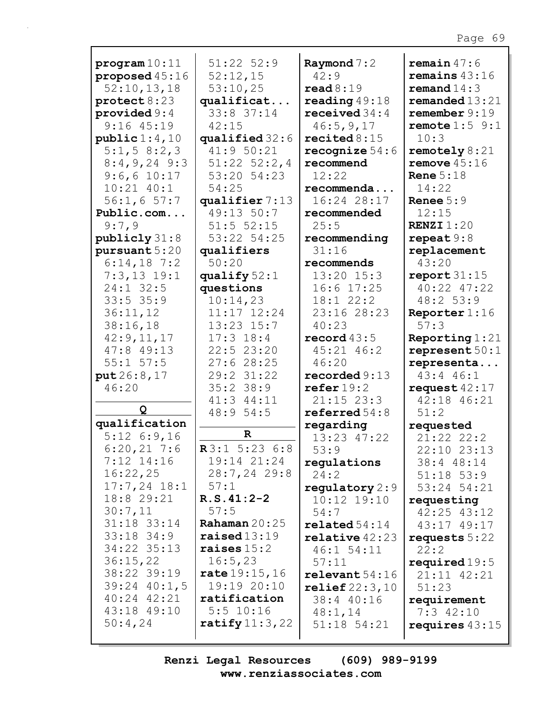| program10:11<br>proposed 45:16<br>52:10, 13, 18 | $51:22$ $52:9$<br>52:12,15<br>53:10,25 | Raymond $7:2$<br>42:9<br>read 8:19 | remain $47:6$<br>remains $43:16$<br>remand $14:3$ |
|-------------------------------------------------|----------------------------------------|------------------------------------|---------------------------------------------------|
| $\texttt{protest} 8:23$                         | qualificat                             | reading $49:18$                    | remanded13:21                                     |
| provided $9:4$                                  | 33:8 37:14                             | received $34:4$                    | remember 9:19                                     |
| $9:16$ $45:19$                                  | 42:15                                  | 46:5,9,17                          | remote $1:5$ 9:1                                  |
| public 1:4,10                                   | qualified 32:6                         | recited $8:15$                     | 10:3                                              |
| 5:1, 5 8:2, 3                                   | 41:9 50:21                             | recognize $54:6$                   | remotely $8:21$                                   |
| $8:4,9,24$ 9:3                                  | $51:22$ $52:2,4$                       | recommend                          | remove $45:16$                                    |
| $9:6,6$ 10:17                                   | 53:20 54:23                            | 12:22                              | Rene $5:18$                                       |
| $10:21$ $40:1$                                  | 54:25                                  | recommenda                         | 14:22                                             |
| 56:1,657:7                                      | qualifier 7:13                         | 16:24 28:17                        | Renee $5:9$                                       |
| Public.com                                      | 49:13 50:7                             | recommended                        | 12:15                                             |
| 9:7,9                                           | $51:5$ $52:15$                         | 25:5                               | RENZI $1:20$                                      |
| publicly 31:8                                   | 53:22 54:25                            | recommending                       | repeat $9:8$                                      |
| pursuant 5:20                                   | qualifiers                             | 31:16                              | replacement                                       |
| $6:14,18$ 7:2                                   | 50:20                                  | recommends                         | 43:20                                             |
| $7:3,13$ 19:1                                   | qualify $52:1$                         | 13:20 15:3                         | report $31:15$                                    |
| $24:1$ 32:5                                     | questions                              | $16:6$ $17:25$                     | 40:22 47:22                                       |
| $33:5$ $35:9$                                   | 10:14,23                               | 18:122:2                           | 48:2 53:9                                         |
| 36:11,12                                        | $11:17$ $12:24$                        | 23:16 28:23                        | Reporter $1:16$                                   |
| 38:16,18                                        | $13:23$ $15:7$                         | 40:23                              | 57:3                                              |
| 42:9,11,17                                      | $17:3$ 18:4                            | record $43:5$                      | Reporting $1:21$                                  |
| 47:8 49:13                                      | 22:523:20                              | 45:21 46:2                         | represent $50:1$                                  |
| $55:1$ $57:5$                                   | 27:628:25                              | 46:20                              | representa                                        |
| put 26:8,17                                     | 29:2 31:22                             | reordered 9:13                     | $43:4$ $46:1$                                     |
| 46:20                                           | $35:2$ 38:9                            | $\texttt{refer} 19:2$              | request $42:17$                                   |
|                                                 | 41:3 44:11                             | $21:15$ $23:3$                     | 42:18 46:21                                       |
| Q                                               | 48:9 54:5                              | referred $54:8$                    | 51:2                                              |
| qualification                                   |                                        | regarding                          | requested                                         |
| $5:12$ 6:9,16                                   | $\mathbf R$                            | 13:23 47:22                        | 21:22 22:2                                        |
| $6:20,21$ 7:6                                   | R3:1 5:23 6:8                          | 53:9                               | 22:10 23:13                                       |
| $7:12$ $14:16$                                  | 19:14 21:24                            | regulations                        | 38:4 48:14                                        |
| 16:22,25                                        | $28:7, 24$ 29:8                        | 24:2                               | $51:18$ $53:9$                                    |
| $17:7,24$ $18:1$                                | 57:1                                   | regulatory $2:9$                   | 53:24 54:21                                       |
| 18:8 29:21                                      | $R.S.41:2-2$                           | $10:12$ $19:10$                    | requesting                                        |
| 30:7,11                                         | 57:5                                   | 54:7                               | $42:25$ $43:12$                                   |
| 31:18 33:14                                     | Rahaman $20:25$                        | $\texttt{related}~54\text{:}14$    | 43:17 49:17                                       |
| $33:18$ $34:9$                                  | $\texttt{raiseed}13:19$                | $relative$ 42:23                   | requests $5:22$                                   |
| 34:22 35:13                                     | raises $15:2$                          | $46:1$ 54:11                       | 22:2                                              |
| 36:15,22                                        | 16:5,23                                | 57:11                              | required $19:5$                                   |
| 38:22 39:19                                     | rate 19:15,16                          | relevent 54:16                     | 21:11 42:21                                       |
| $39:24$ 40:1,5                                  | 19:19 20:10                            | $\texttt{relief22:3,10}$           | 51:23                                             |
| 40:24 42:21                                     | ratification                           | 38:4 40:16                         | requirement                                       |
| 43:18 49:10                                     | $5:5$ 10:16                            | 48:1,14                            | $7:3$ 42:10                                       |
| 50:4,24                                         | ratify $11:3,22$                       | $51:18$ $54:21$                    | requires $43:15$                                  |
|                                                 |                                        |                                    |                                                   |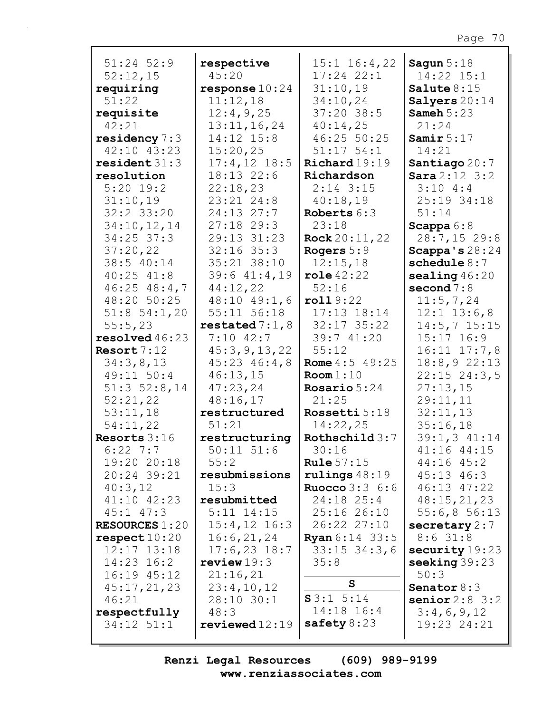| $51:24$ $52:9$        | respective         | $15:1$ $16:4$ , 22        | Sagun $5:18$     |
|-----------------------|--------------------|---------------------------|------------------|
| 52:12,15              | 45:20              | $17:24$ $22:1$            | 14:22 15:1       |
| requiring             | response $10:24$   | 31:10,19                  | Salute $8:15$    |
| 51:22                 | 11:12,18           | 34:10,24                  | Salyers $20:14$  |
| requisite             | 12:4,9,25          | $37:20$ 38:5              | Sameh $5:23$     |
| 42:21                 | 13:11,16,24        | 40:14,25                  | 21:24            |
| residency $7:3$       | 14:12 15:8         | 46:25 50:25               | Samir $5:17$     |
| 42:10 43:23           | 15:20,25           | $51:17$ $54:1$            | 14:21            |
| resident 31:3         | $17:4, 12$ 18:5    | $\texttt{Richard19:19}$   | Santiago $20:7$  |
| resolution            | 18:13 22:6         | Richardson                | Sara2:12 3:2     |
| $5:20$ 19:2           | 22:18,23           | $2:14$ 3:15               | 3:104:3          |
| 31:10,19              | 23:21 24:8         | 40:18,19                  | 25:19 34:18      |
| 32:2 33:20            | $24:13$ $27:7$     | Roberts 6:3               | 51:14            |
| 34:10,12,14           | $27:18$ 29:3       | 23:18                     | Scappa $6:8$     |
| $34:25$ 37:3          | 29:13 31:23        | Rock 20:11, 22            | $28:7,15$ 29:8   |
| 37:20,22              | $32:16$ 35:3       | Rogers 5:9                | Scappa's $28:24$ |
| 38:5 40:14            | 35:21 38:10        | 12:15,18                  | schedule $8:7$   |
| $40:25$ $41:8$        | 39:6 41:4,19       | $role\,42:22$             | sealing $46:20$  |
| $46:25$ $48:4,7$      | 44:12,22           | 52:16                     | second $7:8$     |
| 48:20 50:25           | $48:10$ $49:1$ , 6 | roll9:22                  | 11:5,7,24        |
| $51:8$ $54:1,20$      | 55:11 56:18        | $17:13$ $18:14$           | $12:1$ $13:6,8$  |
| 55:5,23               | restated $7:1,8$   | $32:17$ $35:22$           | $14:5, 7$ 15:15  |
| $resolved\,46:23$     | $7:10$ 42:7        | 39:7 41:20                | $15:17$ $16:9$   |
| Resort 7:12           | 45:3, 9, 13, 22    | 55:12                     | $16:11$ $17:7,8$ |
| 34:3,8,13             | $45:23$ $46:4$ , 8 | <b>Rome</b> $4:5$ 49:25   | 18:8,922:13      |
| 49:11 50:4            | 46:13,15           | Room 1:10                 | $22:15$ $24:3,5$ |
| $51:3$ $52:8,14$      | 47:23,24           | Rosario $5:24$            | 27:13,15         |
| 52:21,22              | 48:16,17           | 21:25                     | 29:11,11         |
| 53:11,18              | restructured       | Rossetti 5:18             | 32:11,13         |
| 54:11,22              | 51:21              | 14:22,25                  | 35:16,18         |
| Resorts $3:16$        | restructuring      | Rothschild 3:7            | 39:1, 3 41:14    |
| $6:22$ 7:7            | $50:11$ $51:6$     | 30:16                     | 41:16 44:15      |
| 19:20 20:18           | 55:2               | Rule $57:15$              | $44:16$ $45:2$   |
| 20:24 39:21           | resubmissions      | $rulings$ 48:19           | $45:13$ $46:3$   |
| 40:3,12               | 15:3               | <b>Ruocco</b> $3:3 \ 6:6$ | 46:13 47:22      |
| 41:10 42:23           | resubmitted        | $24:18$ $25:4$            | 48:15,21,23      |
| $45:1$ $47:3$         | $5:11$ $14:15$     | 25:1626:10                | 55:6,856:13      |
| <b>RESOURCES 1:20</b> | $15:4, 12$ 16:3    | 26:22 27:10               | secretary $2:7$  |
| respect 10:20         | 16:6,21,24         | <b>Ryan</b> 6:14 33:5     | $8:6$ 31:8       |
| $12:17$ $13:18$       | $17:6,23$ $18:7$   | $33:15$ $34:3$ , 6        | security 19:23   |
| $14:23$ $16:2$        | review $19:3$      | 35:8                      | seeking 39:23    |
| $16:19$ $45:12$       | 21:16,21           |                           | 50:3             |
| 45:17,21,23           | 23:4,10,12         | $\mathbf{s}$              | Senator $8:3$    |
| 46:21                 | 28:10 30:1         | S3:1 5:14                 | senior $2:8$ 3:2 |
| respectfully          | 48:3               | $14:18$ 16:4              | 3:4,6,9,12       |
| $34:12$ $51:1$        | reviewed12:19      | safety $8:23$             | 19:23 24:21      |
|                       |                    |                           |                  |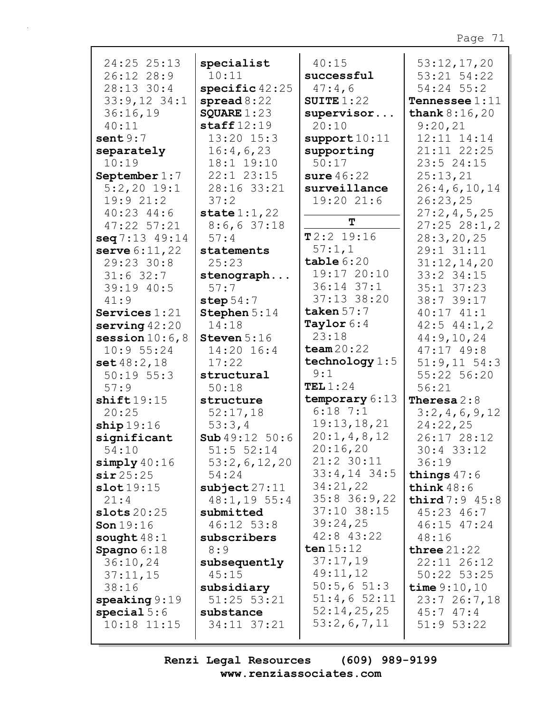| 24:25 25:13<br>26:12 28:9 | specialist<br>10:11      | 40:15<br>successful | 53:12,17,20<br>53:21 54:22 |
|---------------------------|--------------------------|---------------------|----------------------------|
| 28:13 30:4                | specific $42:25$         | 47:4,6              | $54:24$ 55:2               |
| $33:9,12$ $34:1$          | spread $8:22$            | SUITE $1:22$        | <b>Tennessee</b> $1:11$    |
| 36:16,19                  | SQUARE $1:23$            | supervisor          | <b>thank</b> $8:16,20$     |
| 40:11                     | $\texttt{staff12:19}$    | 20:10               | 9:20,21                    |
| sent9:7                   | $13:20$ $15:3$           | support10:11        | 12:11 14:14                |
| separately                | 16:4,6,23                | supporting          | 21:11 22:25                |
| 10:19                     | 18:1 19:10               | 50:17               | $23:5$ 24:15               |
| September $1:7$           | $22:1$ $23:15$           | sure $46:22$        | 25:13,21                   |
| $5:2,20$ 19:1             | 28:16 33:21              | surveillance        | 26:4,6,10,14               |
| 19:921:2                  | 37:2                     | 19:20 21:6          | 26:23,25                   |
| $40:23$ $44:6$            | state $1:1,22$           |                     | 27:2,4,5,25                |
| $47:22$ 57:21             | 8:6,637:18               | $\mathbf T$         | $27:25$ $28:1,2$           |
| seq 7:13 49:14            | 57:4                     | T2:2 19:16          | 28:3, 20, 25               |
| serve 6:11, 22            | statements               | 57:1,1              | 29:1 31:11                 |
| 29:23 30:8                | 25:23                    | table 6:20          | 31:12,14,20                |
| $31:6$ 32:7               | stenograph               | 19:17 20:10         | 33:2 34:15                 |
| 39:19 40:5                | 57:7                     | $36:14$ $37:1$      | $35:1$ $37:23$             |
| 41:9                      | step $54:7$              | 37:13 38:20         | 38:7 39:17                 |
| Services $1:21$           | Stephen 5:14             | taken $57:7$        | $40:17$ $41:1$             |
| serving $42:20$           | 14:18                    | Taylor $6:4$        | $42:5$ $44:1,2$            |
| session $10:6,8$          | Steven $5:16$            | 23:18               | 44:9,10,24                 |
| 10:955:24                 | 14:20 16:4               | team $20:22$        | $47:17$ $49:8$             |
| set 48:2,18               | 17:22                    | technology $1:5$    | $51:9,11$ $54:3$           |
| $50:19$ $55:3$            | structural               | 9:1                 | 55:22 56:20                |
| 57:9                      | 50:18                    | TEL $1:24$          | 56:21                      |
| shift19:15                | structure                | temporary 6:13      | <b>Theresa</b> $2:8$       |
| 20:25                     | 52:17,18                 | $6:18$ 7:1          | 3:2,4,6,9,12               |
| ship 19:16                | 53:3,4                   | 19:13, 18, 21       | 24:22,25                   |
| significant               | <b>Sub</b> $49:12$ 50:6  | 20:1, 4, 8, 12      | 26:17 28:12                |
| 54:10                     | 51:5 52:14               | 20:16,20            | $30:4$ 33:12               |
| simply $40:16$            | 53:2,6,12,20             | 21:2 30:11          | 36:19                      |
| sir25:25                  | 54:24                    | $33:4,14$ 34:5      | things $47:6$              |
| slot19:15                 | $\texttt{subject}$ 27:11 | 34:21,22            | think $48:6$               |
| 21:4                      | 48:1,1955:4              | 35:8 36:9,22        | third $7:9$ 45:8           |
| slots $20:25$             | submitted                | 37:10 38:15         | 45:23 46:7                 |
| Son $19:16$               | $46:12$ 53:8             | 39:24,25            | 46:15 47:24                |
| sought $48:1$             | subscribers              | $42:8$ $43:22$      | 48:16                      |
| Spagno $6:18$             | 8:9                      | ten $15:12$         | three $21:22$              |
| 36:10,24                  | subsequently             | 37:17,19            | $22:11$ $26:12$            |
| 37:11,15                  | 45:15                    | 49:11,12            | 50:22 53:25                |
| 38:16                     | subsidiary               | 50:5,651:3          | time $9:10,10$             |
| $\texttt{speaking} 9:19$  | $51:25$ $53:21$          | $51:4,6$ 52:11      | 23:726:7,18                |
| special $5:6$             | substance                | 52:14,25,25         | 45:747:4                   |
| $10:18$ $11:15$           | 34:11 37:21              | 53:2,6,7,11         | $51:9$ $53:22$             |
|                           |                          |                     |                            |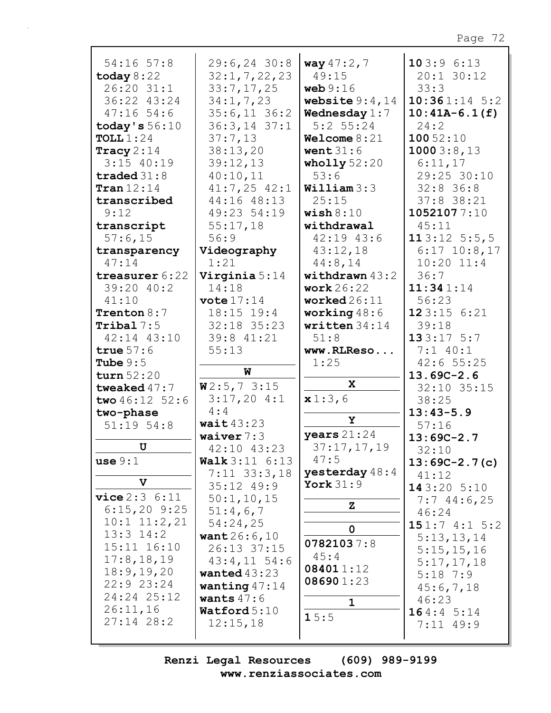| 54:16 57:8                   | $29:6, 24$ 30:8                             | way $47:2,7$                 | 103:96:13              |
|------------------------------|---------------------------------------------|------------------------------|------------------------|
| today $8:22$                 | 32:1, 7, 22, 23                             | 49:15                        | 20:1 30:12             |
| 26:20 31:1                   | 33:7,17,25                                  | web $9:16$                   | 33:3                   |
| 36:22 43:24                  | 34:1, 7, 23                                 | website $9:4,14$             | $10:361:14$ 5:2        |
| $47:16$ 54:6                 | $35:6,11$ 36:2                              | Wednesday $1:7$              | $10:41A-6.1(f)$        |
| today's $56:10$              | $36:3, 14$ 37:1                             | $5:2$ 55:24                  | 24:2                   |
| TOLL $1:24$                  | 37:7,13                                     | Welcome $8:21$               | 10052:10               |
| Tracy $2:14$<br>$3:15$ 40:19 | 38:13,20                                    | went $31:6$                  | 10003:8,13             |
| traded $31:8$                | 39:12,13<br>40:10,11                        | wholly $52:20$<br>53:6       | 6:11,17<br>29:25 30:10 |
| Tran $12:14$                 | $41:7,25$ $42:1$                            | William 3:3                  | $32:8$ 36:8            |
| transcribed                  | 44:16 48:13                                 | 25:15                        | $37:8$ 38:21           |
| 9:12                         | 49:23 54:19                                 | wish $8:10$                  | 10521077:10            |
| transcript                   | 55:17,18                                    | withdrawal                   | 45:11                  |
| 57:6,15                      | 56:9                                        | 42:19 43:6                   | 113:125:5,5            |
| transparency                 | Videography                                 | 43:12,18                     | $6:17$ $10:8$ , 17     |
| 47:14                        | 1:21                                        | 44:8,14                      | $10:20$ $11:4$         |
| treasurer 6:22               | Virginia 5:14                               | withdrawn $43:2$             | 36:7                   |
| 39:20 40:2                   | 14:18                                       | work $26:22$                 | 11:341:14              |
| 41:10                        | vote $17:14$                                | worked $26:11$               | 56:23                  |
| <b>Trenton</b> $8:7$         | $18:15$ $19:4$                              | working $48:6$               | 123:156:21             |
| Tribal $7:5$                 | 32:18 35:23                                 | written $34:14$              | 39:18                  |
| 42:14 43:10                  | 39:8 41:21                                  | 51:8                         | 133:175:7              |
| true $57:6$                  | 55:13                                       | www.RLReso                   | $7:1$ 40:1             |
| Tube $9:5$                   |                                             | 1:25                         | 42:655:25              |
| turn $52:20$                 | W                                           |                              | $13.69C - 2.6$         |
| tweaked $47:7$               | W2:5,73:15                                  | X                            | 32:10 35:15            |
| two $46:12$ 52:6             | 3:17,204:1                                  | x1:3,6                       | 38:25                  |
| two-phase                    | 4:4                                         | Υ                            | $13:43-5.9$            |
| $51:19$ $54:8$               | wait $43:23$                                |                              | 57:16                  |
| U                            | waiver $7:3$                                | years $21:24$<br>37:17,17,19 | $13:69C-2.7$           |
| use 9:1                      | 42:10 43:23                                 | 47:5                         | 32:10                  |
|                              | <b>Walk</b> $3:11 \t6:13$<br>$7:11$ 33:3,18 | yesterday $48:4$             | $13:69C-2.7(c)$        |
| V                            | $35:12$ 49:9                                | York $31:9$                  | 41:12                  |
| vice 2:3 6:11                | 50:1, 10, 15                                |                              | 143:205:10             |
| $6:15,20$ 9:25               | 51:4,6,7                                    | $\mathbf{z}$                 | $7:7$ 44:6,25<br>46:24 |
| $10:1$ $11:2,21$             | 54:24,25                                    |                              | 151:74:15:2            |
| $13:3$ $14:2$                | want $26:6,10$                              | $\mathbf 0$                  | 5:13,13,14             |
| 15:11 16:10                  | 26:13 37:15                                 | 07821037:8                   | 5:15,15,16             |
| 17:8, 18, 19                 | $43:4,11$ 54:6                              | 45:4                         | 5:17,17,18             |
| 18:9, 19, 20                 | wanted $43:23$                              | 084011:12                    | $5:18$ 7:9             |
| 22:9 23:24                   | wanting $47:14$                             | 086901:23                    | 45:6,7,18              |
| 24:24 25:12                  | wants $47:6$                                | $\mathbf 1$                  | 46:23                  |
| 26:11,16                     | $\texttt{Watford}5:10$                      | 15:5                         | 164:45:14              |
| $27:14$ 28:2                 | 12:15,18                                    |                              | $7:11$ 49:9            |
|                              |                                             |                              |                        |